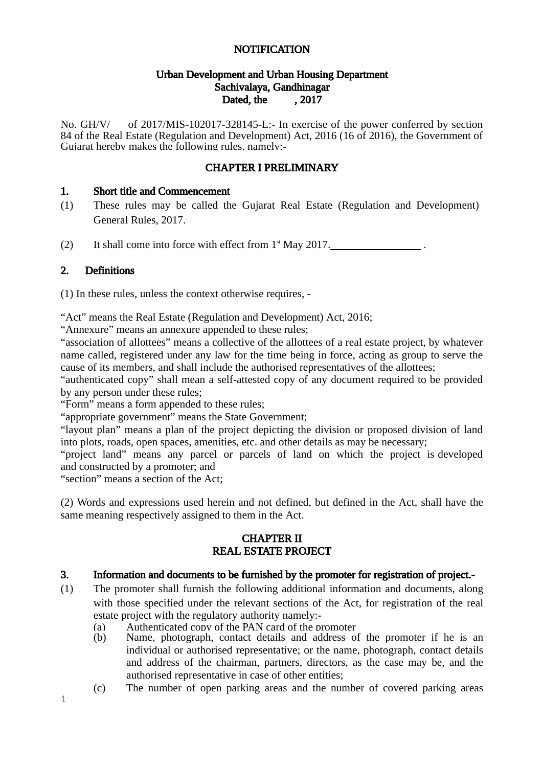#### NOTIFICATION

#### Urban Development and Urban Housing Department Sachivalaya, Gandhinagar Dated, the , 2017

No. GH/V/ of 2017/MIS-102017-328145-L:- In exercise of the power conferred by section 84 of the Real Estate (Regulation and Development) Act, 2016 (16 of 2016), the Government of Gujarat hereby makes the following rules, namely:-

#### CHAPTER I PRELIMINARY

#### 1. Short title and Commencement

- (1) These rules may be called the Gujarat Real Estate (Regulation and Development) General Rules, 2017.
- (2) It shall come into force with effect from  $1<sup>st</sup>$  May 2017.

#### 2. Definitions

(1) In these rules, unless the context otherwise requires, -

"Act" means the Real Estate (Regulation and Development) Act, 2016;

"Annexure" means an annexure appended to these rules;

"association of allottees" means a collective of the allottees of a real estate project, by whatever name called, registered under any law for the time being in force, acting as group to serve the cause of its members, and shall include the authorised representatives of the allottees;

"authenticated copy" shall mean a self-attested copy of any document required to be provided by any person under these rules;

"Form" means a form appended to these rules;

"appropriate government" means the State Government;

"layout plan" means a plan of the project depicting the division or proposed division of land into plots, roads, open spaces, amenities, etc. and other details as may be necessary;

"project land" means any parcel or parcels of land on which the project is developed and constructed by a promoter; and

"section" means a section of the Act;

(2) Words and expressions used herein and not defined, but defined in the Act, shall have the same meaning respectively assigned to them in the Act.

#### CHAPTER II REAL ESTATE PROJECT

#### 3. Information and documents to be furnished by the promoter for registration of project.-

- (1) The promoter shall furnish the following additional information and documents, along with those specified under the relevant sections of the Act, for registration of the real estate project with the regulatory authority namely:-
	- (a) Authenticated copy of the PAN card of the promoter<br>(b) Name, photograph, contact details and address of
	- Name, photograph, contact details and address of the promoter if he is an individual or authorised representative; or the name, photograph, contact details and address of the chairman, partners, directors, as the case may be, and the authorised representative in case of other entities;
	- (c) The number of open parking areas and the number of covered parking areas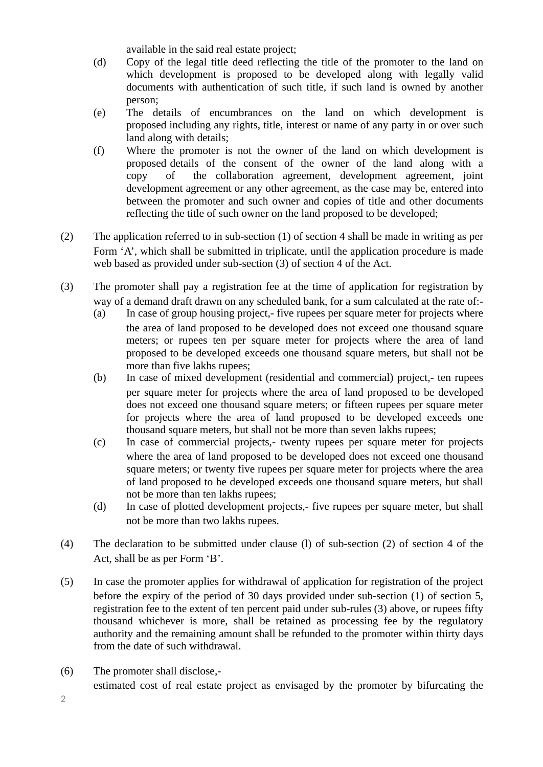available in the said real estate project;

- (d) Copy of the legal title deed reflecting the title of the promoter to the land on which development is proposed to be developed along with legally valid documents with authentication of such title, if such land is owned by another person;
- (e) The details of encumbrances on the land on which development is proposed including any rights, title, interest or name of any party in or over such land along with details;
- (f) Where the promoter is not the owner of the land on which development is proposed details of the consent of the owner of the land along with a copy of the collaboration agreement, development agreement, joint development agreement or any other agreement, as the case may be, entered into between the promoter and such owner and copies of title and other documents reflecting the title of such owner on the land proposed to be developed;
- (2) The application referred to in sub-section (1) of section 4 shall be made in writing as per Form 'A', which shall be submitted in triplicate, until the application procedure is made web based as provided under sub-section (3) of section 4 of the Act.
- (3) The promoter shall pay a registration fee at the time of application for registration by way of a demand draft drawn on any scheduled bank, for a sum calculated at the rate of:-
	- (a) In case of group housing project,- five rupees per square meter for projects where the area of land proposed to be developed does not exceed one thousand square meters; or rupees ten per square meter for projects where the area of land proposed to be developed exceeds one thousand square meters, but shall not be more than five lakhs rupees;
	- (b) In case of mixed development (residential and commercial) project,- ten rupees per square meter for projects where the area of land proposed to be developed does not exceed one thousand square meters; or fifteen rupees per square meter for projects where the area of land proposed to be developed exceeds one thousand square meters, but shall not be more than seven lakhs rupees;
	- (c) In case of commercial projects,- twenty rupees per square meter for projects where the area of land proposed to be developed does not exceed one thousand square meters; or twenty five rupees per square meter for projects where the area of land proposed to be developed exceeds one thousand square meters, but shall not be more than ten lakhs rupees;
	- (d) In case of plotted development projects,- five rupees per square meter, but shall not be more than two lakhs rupees.
- (4) The declaration to be submitted under clause (l) of sub-section (2) of section 4 of the Act, shall be as per Form 'B'.
- (5) In case the promoter applies for withdrawal of application for registration of the project before the expiry of the period of 30 days provided under sub-section (1) of section 5, registration fee to the extent of ten percent paid under sub-rules (3) above, or rupees fifty thousand whichever is more, shall be retained as processing fee by the regulatory authority and the remaining amount shall be refunded to the promoter within thirty days from the date of such withdrawal.
- (6) The promoter shall disclose,
	- estimated cost of real estate project as envisaged by the promoter by bifurcating the

2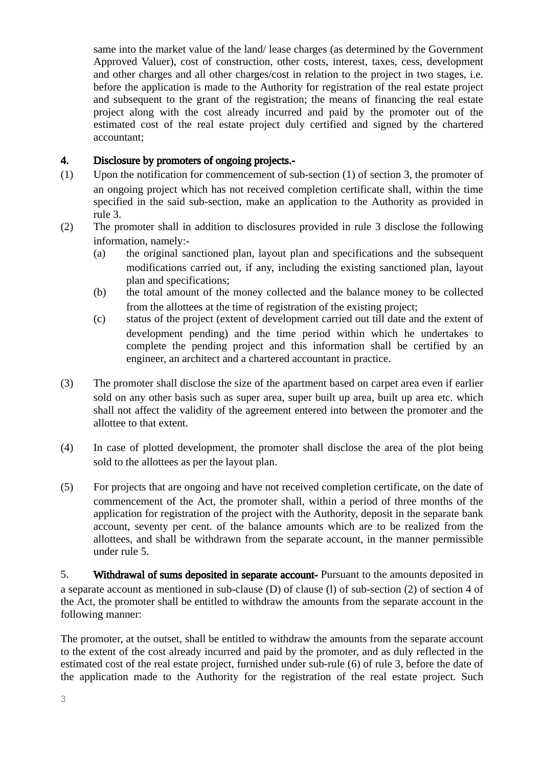same into the market value of the land/ lease charges (as determined by the Government Approved Valuer), cost of construction, other costs, interest, taxes, cess, development and other charges and all other charges/cost in relation to the project in two stages, i.e. before the application is made to the Authority for registration of the real estate project and subsequent to the grant of the registration; the means of financing the real estate project along with the cost already incurred and paid by the promoter out of the estimated cost of the real estate project duly certified and signed by the chartered accountant;

#### 4. Disclosure by promoters of ongoing projects.-

- (1) Upon the notification for commencement of sub-section (1) of section 3, the promoter of an ongoing project which has not received completion certificate shall, within the time specified in the said sub-section, make an application to the Authority as provided in rule 3.
- (2) The promoter shall in addition to disclosures provided in rule 3 disclose the following information, namely:-
	- (a) the original sanctioned plan, layout plan and specifications and the subsequent modifications carried out, if any, including the existing sanctioned plan, layout plan and specifications;
	- (b) the total amount of the money collected and the balance money to be collected from the allottees at the time of registration of the existing project;
	- (c) status of the project (extent of development carried out till date and the extent of development pending) and the time period within which he undertakes to complete the pending project and this information shall be certified by an engineer, an architect and a chartered accountant in practice.
- (3) The promoter shall disclose the size of the apartment based on carpet area even if earlier sold on any other basis such as super area, super built up area, built up area etc. which shall not affect the validity of the agreement entered into between the promoter and the allottee to that extent.
- (4) In case of plotted development, the promoter shall disclose the area of the plot being sold to the allottees as per the layout plan.
- (5) For projects that are ongoing and have not received completion certificate, on the date of commencement of the Act, the promoter shall, within a period of three months of the application for registration of the project with the Authority, deposit in the separate bank account, seventy per cent. of the balance amounts which are to be realized from the allottees, and shall be withdrawn from the separate account, in the manner permissible under rule 5.

5. Withdrawal of sums deposited in separate account- Pursuant to the amounts deposited in a separate account as mentioned in sub-clause (D) of clause (l) of sub-section (2) of section 4 of the Act, the promoter shall be entitled to withdraw the amounts from the separate account in the following manner:

The promoter, at the outset, shall be entitled to withdraw the amounts from the separate account to the extent of the cost already incurred and paid by the promoter, and as duly reflected in the estimated cost of the real estate project, furnished under sub-rule (6) of rule 3, before the date of the application made to the Authority for the registration of the real estate project. Such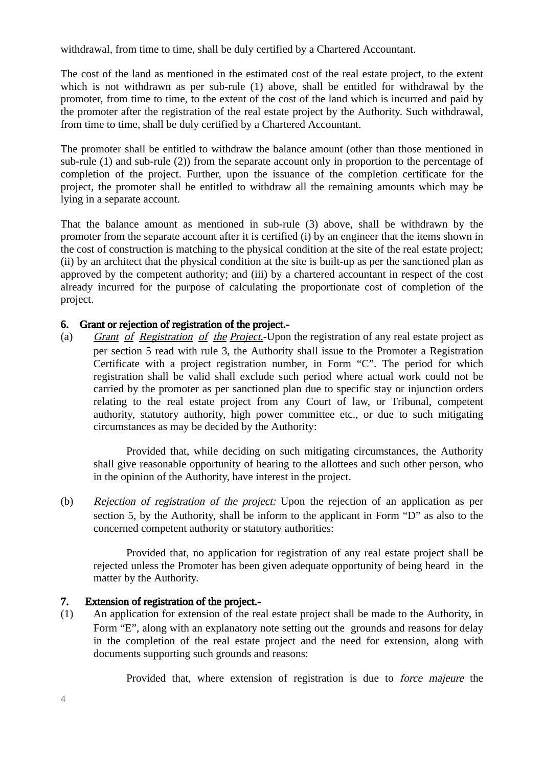withdrawal, from time to time, shall be duly certified by a Chartered Accountant.

The cost of the land as mentioned in the estimated cost of the real estate project, to the extent which is not withdrawn as per sub-rule (1) above, shall be entitled for withdrawal by the promoter, from time to time, to the extent of the cost of the land which is incurred and paid by the promoter after the registration of the real estate project by the Authority. Such withdrawal, from time to time, shall be duly certified by a Chartered Accountant.

The promoter shall be entitled to withdraw the balance amount (other than those mentioned in sub-rule (1) and sub-rule (2)) from the separate account only in proportion to the percentage of completion of the project. Further, upon the issuance of the completion certificate for the project, the promoter shall be entitled to withdraw all the remaining amounts which may be lying in a separate account.

That the balance amount as mentioned in sub-rule (3) above, shall be withdrawn by the promoter from the separate account after it is certified (i) by an engineer that the items shown in the cost of construction is matching to the physical condition at the site of the real estate project; (ii) by an architect that the physical condition at the site is built-up as per the sanctioned plan as approved by the competent authority; and (iii) by a chartered accountant in respect of the cost already incurred for the purpose of calculating the proportionate cost of completion of the project.

#### 6. Grant or rejection of registration of the project.-

(a) Grant of Registration of the Project.-Upon the registration of any real estate project as per section 5 read with rule 3, the Authority shall issue to the Promoter a Registration Certificate with a project registration number, in Form "C". The period for which registration shall be valid shall exclude such period where actual work could not be carried by the promoter as per sanctioned plan due to specific stay or injunction orders relating to the real estate project from any Court of law, or Tribunal, competent authority, statutory authority, high power committee etc., or due to such mitigating circumstances as may be decided by the Authority:

Provided that, while deciding on such mitigating circumstances, the Authority shall give reasonable opportunity of hearing to the allottees and such other person, who in the opinion of the Authority, have interest in the project.

(b) Rejection of registration of the project: Upon the rejection of an application as per section 5, by the Authority, shall be inform to the applicant in Form "D" as also to the concerned competent authority or statutory authorities:

Provided that, no application for registration of any real estate project shall be rejected unless the Promoter has been given adequate opportunity of being heard in the matter by the Authority.

#### 7. Extension of registration of the project.-

(1) An application for extension of the real estate project shall be made to the Authority, in Form "E", along with an explanatory note setting out the grounds and reasons for delay in the completion of the real estate project and the need for extension, along with documents supporting such grounds and reasons:

Provided that, where extension of registration is due to force majeure the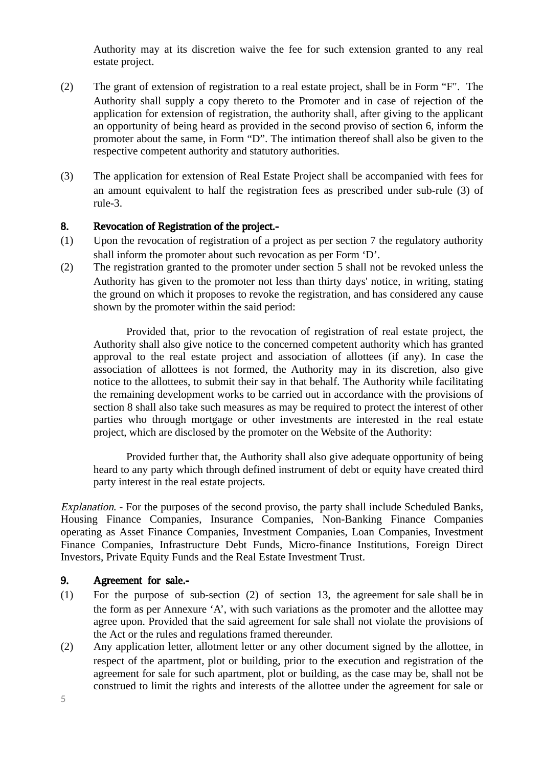Authority may at its discretion waive the fee for such extension granted to any real estate project.

- (2) The grant of extension of registration to a real estate project, shall be in Form "F". The Authority shall supply a copy thereto to the Promoter and in case of rejection of the application for extension of registration, the authority shall, after giving to the applicant an opportunity of being heard as provided in the second proviso of section 6, inform the promoter about the same, in Form "D". The intimation thereof shall also be given to the respective competent authority and statutory authorities.
- (3) The application for extension of Real Estate Project shall be accompanied with fees for an amount equivalent to half the registration fees as prescribed under sub-rule (3) of rule-3.

#### 8. Revocation of Registration of the project.-

- (1) Upon the revocation of registration of a project as per section 7 the regulatory authority shall inform the promoter about such revocation as per Form 'D'.
- (2) The registration granted to the promoter under section 5 shall not be revoked unless the Authority has given to the promoter not less than thirty days' notice, in writing, stating the ground on which it proposes to revoke the registration, and has considered any cause shown by the promoter within the said period:

Provided that, prior to the revocation of registration of real estate project, the Authority shall also give notice to the concerned competent authority which has granted approval to the real estate project and association of allottees (if any). In case the association of allottees is not formed, the Authority may in its discretion, also give notice to the allottees, to submit their say in that behalf. The Authority while facilitating the remaining development works to be carried out in accordance with the provisions of section 8 shall also take such measures as may be required to protect the interest of other parties who through mortgage or other investments are interested in the real estate project, which are disclosed by the promoter on the Website of the Authority:

Provided further that, the Authority shall also give adequate opportunity of being heard to any party which through defined instrument of debt or equity have created third party interest in the real estate projects.

Explanation. - For the purposes of the second proviso, the party shall include Scheduled Banks, Housing Finance Companies, Insurance Companies, Non-Banking Finance Companies operating as Asset Finance Companies, Investment Companies, Loan Companies, Investment Finance Companies, Infrastructure Debt Funds, Micro-finance Institutions, Foreign Direct Investors, Private Equity Funds and the Real Estate Investment Trust.

#### 9. Agreement for sale.-

- (1) For the purpose of sub-section (2) of section 13, the agreement for sale shall be in the form as per Annexure 'A', with such variations as the promoter and the allottee may agree upon. Provided that the said agreement for sale shall not violate the provisions of the Act or the rules and regulations framed thereunder.
- (2) Any application letter, allotment letter or any other document signed by the allottee, in respect of the apartment, plot or building, prior to the execution and registration of the agreement for sale for such apartment, plot or building, as the case may be, shall not be construed to limit the rights and interests of the allottee under the agreement for sale or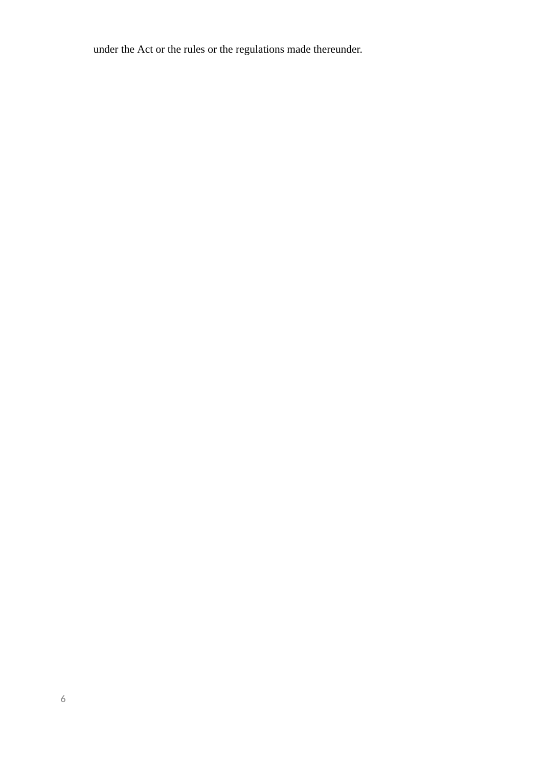under the Act or the rules or the regulations made thereunder.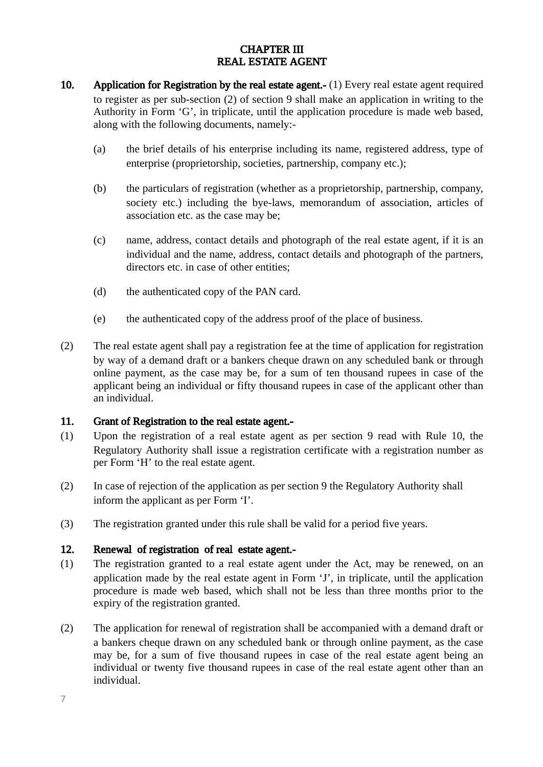## CHAPTER III REAL ESTATE AGENT

- 10. Application for Registration by the real estate agent.- (1) Every real estate agent required to register as per sub-section (2) of section 9 shall make an application in writing to the Authority in Form 'G', in triplicate, until the application procedure is made web based, along with the following documents, namely:-
	- (a) the brief details of his enterprise including its name, registered address, type of enterprise (proprietorship, societies, partnership, company etc.);
	- (b) the particulars of registration (whether as a proprietorship, partnership, company, society etc.) including the bye-laws, memorandum of association, articles of association etc. as the case may be;
	- (c) name, address, contact details and photograph of the real estate agent, if it is an individual and the name, address, contact details and photograph of the partners, directors etc. in case of other entities;
	- (d) the authenticated copy of the PAN card.
	- (e) the authenticated copy of the address proof of the place of business.
- (2) The real estate agent shall pay a registration fee at the time of application for registration by way of a demand draft or a bankers cheque drawn on any scheduled bank or through online payment, as the case may be, for a sum of ten thousand rupees in case of the applicant being an individual or fifty thousand rupees in case of the applicant other than an individual.

#### 11. Grant of Registration to the real estate agent.-

- (1) Upon the registration of a real estate agent as per section 9 read with Rule 10, the Regulatory Authority shall issue a registration certificate with a registration number as per Form 'H' to the real estate agent.
- (2) In case of rejection of the application as per section 9 the Regulatory Authority shall inform the applicant as per Form 'I'.
- (3) The registration granted under this rule shall be valid for a period five years.

#### 12. Renewal of registration of real estate agent.-

- (1) The registration granted to a real estate agent under the Act, may be renewed, on an application made by the real estate agent in Form 'J', in triplicate, until the application procedure is made web based, which shall not be less than three months prior to the expiry of the registration granted.
- (2) The application for renewal of registration shall be accompanied with a demand draft or a bankers cheque drawn on any scheduled bank or through online payment, as the case may be, for a sum of five thousand rupees in case of the real estate agent being an individual or twenty five thousand rupees in case of the real estate agent other than an individual.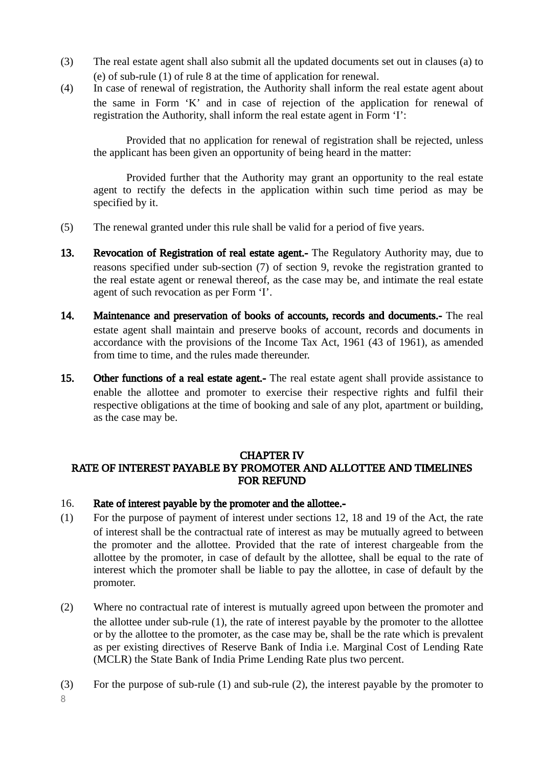- (3) The real estate agent shall also submit all the updated documents set out in clauses (a) to (e) of sub-rule (1) of rule 8 at the time of application for renewal.
- (4) In case of renewal of registration, the Authority shall inform the real estate agent about the same in Form 'K' and in case of rejection of the application for renewal of registration the Authority, shall inform the real estate agent in Form 'I':

Provided that no application for renewal of registration shall be rejected, unless the applicant has been given an opportunity of being heard in the matter:

Provided further that the Authority may grant an opportunity to the real estate agent to rectify the defects in the application within such time period as may be specified by it.

- (5) The renewal granted under this rule shall be valid for a period of five years.
- 13. Revocation of Registration of real estate agent.- The Regulatory Authority may, due to reasons specified under sub-section (7) of section 9, revoke the registration granted to the real estate agent or renewal thereof, as the case may be, and intimate the real estate agent of such revocation as per Form 'I'.
- 14. Maintenance and preservation of books of accounts, records and documents.- The real estate agent shall maintain and preserve books of account, records and documents in accordance with the provisions of the Income Tax Act, 1961 (43 of 1961), as amended from time to time, and the rules made thereunder.
- 15. Other functions of a real estate agent.- The real estate agent shall provide assistance to enable the allottee and promoter to exercise their respective rights and fulfil their respective obligations at the time of booking and sale of any plot, apartment or building, as the case may be.

#### CHAPTER IV

## RATE OF INTEREST PAYABLE BY PROMOTER AND ALLOTTEE AND TIMELINES FOR REFUND

#### 16. Rate of interest payable by the promoter and the allottee.-

- (1) For the purpose of payment of interest under sections 12, 18 and 19 of the Act, the rate of interest shall be the contractual rate of interest as may be mutually agreed to between the promoter and the allottee. Provided that the rate of interest chargeable from the allottee by the promoter, in case of default by the allottee, shall be equal to the rate of interest which the promoter shall be liable to pay the allottee, in case of default by the promoter.
- (2) Where no contractual rate of interest is mutually agreed upon between the promoter and the allottee under sub-rule (1), the rate of interest payable by the promoter to the allottee or by the allottee to the promoter, as the case may be, shall be the rate which is prevalent as per existing directives of Reserve Bank of India i.e. Marginal Cost of Lending Rate (MCLR) the State Bank of India Prime Lending Rate plus two percent.
- (3) For the purpose of sub-rule (1) and sub-rule (2), the interest payable by the promoter to

8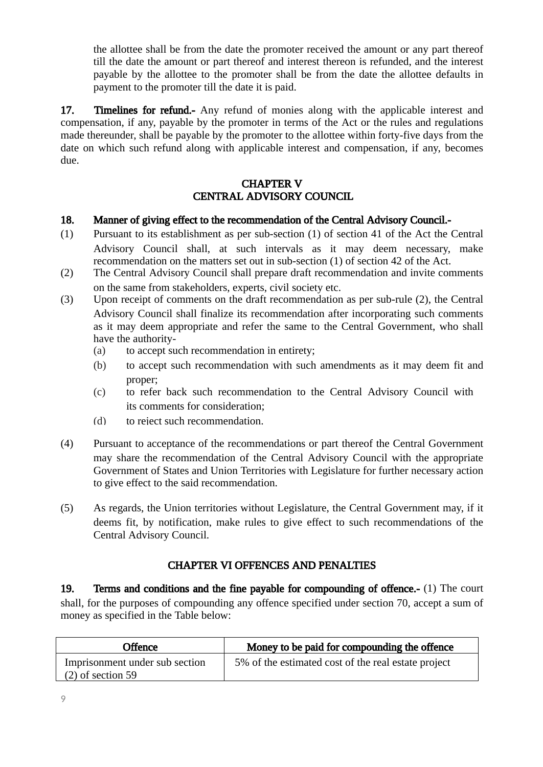the allottee shall be from the date the promoter received the amount or any part thereof till the date the amount or part thereof and interest thereon is refunded, and the interest payable by the allottee to the promoter shall be from the date the allottee defaults in payment to the promoter till the date it is paid.

17. Timelines for refund.- Any refund of monies along with the applicable interest and compensation, if any, payable by the promoter in terms of the Act or the rules and regulations made thereunder, shall be payable by the promoter to the allottee within forty-five days from the date on which such refund along with applicable interest and compensation, if any, becomes due.

#### CHAPTER V CENTRAL ADVISORY COUNCIL

#### 18. Manner of giving effect to the recommendation of the Central Advisory Council.-

- (1) Pursuant to its establishment as per sub-section (1) of section 41 of the Act the Central Advisory Council shall, at such intervals as it may deem necessary, make recommendation on the matters set out in sub-section (1) of section 42 of the Act.
- (2) The Central Advisory Council shall prepare draft recommendation and invite comments on the same from stakeholders, experts, civil society etc.
- (3) Upon receipt of comments on the draft recommendation as per sub-rule (2), the Central Advisory Council shall finalize its recommendation after incorporating such comments as it may deem appropriate and refer the same to the Central Government, who shall have the authority-
	- (a) to accept such recommendation in entirety;
	- (b) to accept such recommendation with such amendments as it may deem fit and proper;
	- (c) to refer back such recommendation to the Central Advisory Council with its comments for consideration;
	- (d) to reject such recommendation.
- (4) Pursuant to acceptance of the recommendations or part thereof the Central Government may share the recommendation of the Central Advisory Council with the appropriate Government of States and Union Territories with Legislature for further necessary action to give effect to the said recommendation.
- (5) As regards, the Union territories without Legislature, the Central Government may, if it deems fit, by notification, make rules to give effect to such recommendations of the Central Advisory Council.

#### CHAPTER VI OFFENCES AND PENALTIES

19. Terms and conditions and the fine payable for compounding of offence.- (1) The court shall, for the purposes of compounding any offence specified under section 70, accept a sum of money as specified in the Table below:

| Offence                                               | Money to be paid for compounding the offence        |
|-------------------------------------------------------|-----------------------------------------------------|
| Imprisonment under sub section<br>$(2)$ of section 59 | 5% of the estimated cost of the real estate project |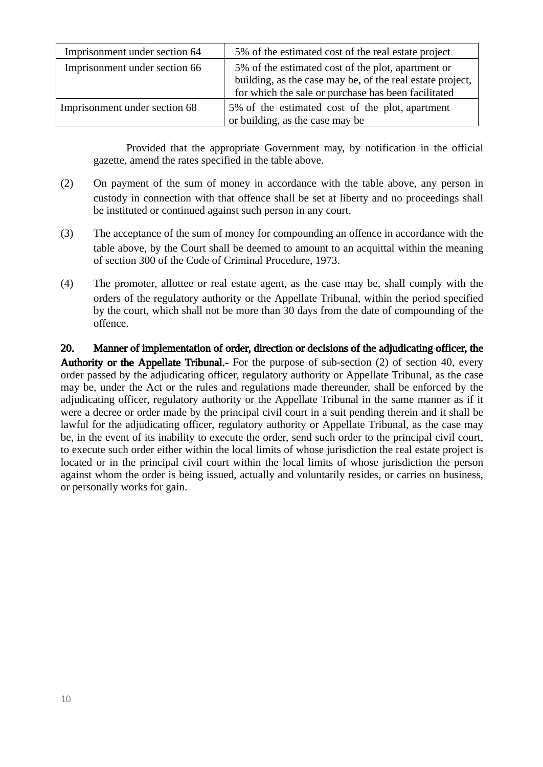| Imprisonment under section 64 | 5% of the estimated cost of the real estate project       |  |  |  |
|-------------------------------|-----------------------------------------------------------|--|--|--|
| Imprisonment under section 66 | 5% of the estimated cost of the plot, apartment or        |  |  |  |
|                               | building, as the case may be, of the real estate project, |  |  |  |
|                               | for which the sale or purchase has been facilitated       |  |  |  |
| Imprisonment under section 68 | 5% of the estimated cost of the plot, apartment           |  |  |  |
|                               | or building, as the case may be                           |  |  |  |

Provided that the appropriate Government may, by notification in the official gazette, amend the rates specified in the table above.

- (2) On payment of the sum of money in accordance with the table above, any person in custody in connection with that offence shall be set at liberty and no proceedings shall be instituted or continued against such person in any court.
- (3) The acceptance of the sum of money for compounding an offence in accordance with the table above, by the Court shall be deemed to amount to an acquittal within the meaning of section 300 of the Code of Criminal Procedure, 1973.
- (4) The promoter, allottee or real estate agent, as the case may be, shall comply with the orders of the regulatory authority or the Appellate Tribunal, within the period specified by the court, which shall not be more than 30 days from the date of compounding of the offence.

20. Manner of implementation of order, direction or decisions of the adjudicating officer, the Authority or the Appellate Tribunal.- For the purpose of sub-section (2) of section 40, every order passed by the adjudicating officer, regulatory authority or Appellate Tribunal, as the case may be, under the Act or the rules and regulations made thereunder, shall be enforced by the adjudicating officer, regulatory authority or the Appellate Tribunal in the same manner as if it were a decree or order made by the principal civil court in a suit pending therein and it shall be lawful for the adjudicating officer, regulatory authority or Appellate Tribunal, as the case may be, in the event of its inability to execute the order, send such order to the principal civil court, to execute such order either within the local limits of whose jurisdiction the real estate project is located or in the principal civil court within the local limits of whose jurisdiction the person against whom the order is being issued, actually and voluntarily resides, or carries on business, or personally works for gain.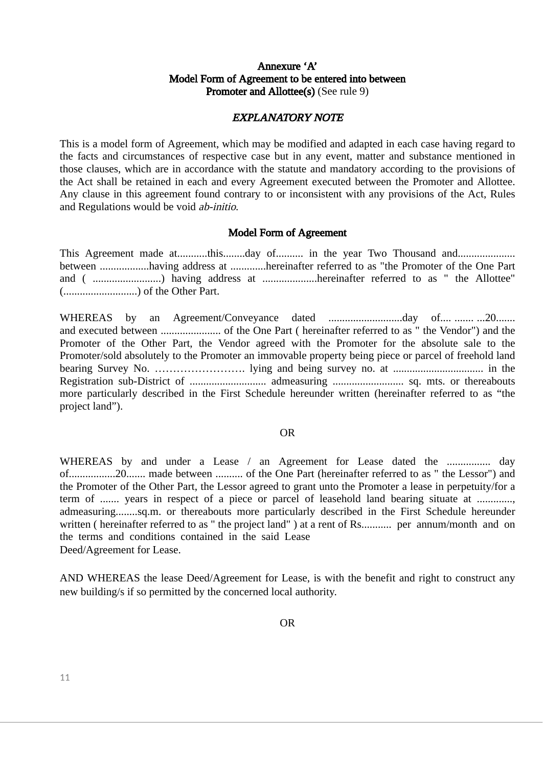#### Annexure 'A' Model Form of Agreement to be entered into between Promoter and Allottee(s) (See rule 9)

#### EXPLANATORY NOTE

This is a model form of Agreement, which may be modified and adapted in each case having regard to the facts and circumstances of respective case but in any event, matter and substance mentioned in those clauses, which are in accordance with the statute and mandatory according to the provisions of the Act shall be retained in each and every Agreement executed between the Promoter and Allottee. Any clause in this agreement found contrary to or inconsistent with any provisions of the Act, Rules and Regulations would be void ab-initio.

#### Model Form of Agreement

This Agreement made at...........this........day of.......... in the year Two Thousand and.................... between ..................having address at .............hereinafter referred to as "the Promoter of the One Part and ( .................................) having address at .....................hereinafter referred to as " the Allottee" (...........................) of the Other Part.

WHEREAS by an Agreement/Conveyance dated ...........................day of.... ....... ...20....... and executed between ...................... of the One Part ( hereinafter referred to as " the Vendor") and the Promoter of the Other Part, the Vendor agreed with the Promoter for the absolute sale to the Promoter/sold absolutely to the Promoter an immovable property being piece or parcel of freehold land bearing Survey No. ……………………. lying and being survey no. at ................................. in the Registration sub-District of ............................ admeasuring .......................... sq. mts. or thereabouts more particularly described in the First Schedule hereunder written (hereinafter referred to as "the project land").

#### OR

WHEREAS by and under a Lease / an Agreement for Lease dated the ................ day of.................20....... made between .......... of the One Part (hereinafter referred to as " the Lessor") and the Promoter of the Other Part, the Lessor agreed to grant unto the Promoter a lease in perpetuity/for a term of ....... years in respect of a piece or parcel of leasehold land bearing situate at .............. admeasuring........sq.m. or thereabouts more particularly described in the First Schedule hereunder written ( hereinafter referred to as " the project land" ) at a rent of Rs............ per annum/month and on the terms and conditions contained in the said Lease Deed/Agreement for Lease.

AND WHEREAS the lease Deed/Agreement for Lease, is with the benefit and right to construct any new building/s if so permitted by the concerned local authority.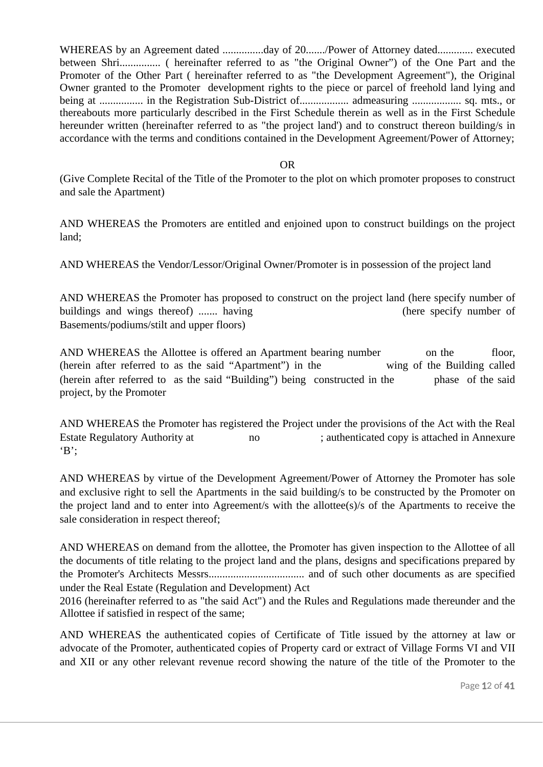WHEREAS by an Agreement dated ...............day of 20......./Power of Attorney dated............. executed between Shri............... ( hereinafter referred to as "the Original Owner") of the One Part and the Promoter of the Other Part ( hereinafter referred to as "the Development Agreement"), the Original Owner granted to the Promoter development rights to the piece or parcel of freehold land lying and being at ................. in the Registration Sub-District of..................... admeasuring ................... sq. mts., or thereabouts more particularly described in the First Schedule therein as well as in the First Schedule hereunder written (hereinafter referred to as "the project land') and to construct thereon building/s in accordance with the terms and conditions contained in the Development Agreement/Power of Attorney;

OR

(Give Complete Recital of the Title of the Promoter to the plot on which promoter proposes to construct and sale the Apartment)

AND WHEREAS the Promoters are entitled and enjoined upon to construct buildings on the project land;

AND WHEREAS the Vendor/Lessor/Original Owner/Promoter is in possession of the project land

AND WHEREAS the Promoter has proposed to construct on the project land (here specify number of buildings and wings thereof) ....... having (here specify number of Basements/podiums/stilt and upper floors)

AND WHEREAS the Allottee is offered an Apartment bearing number *floor*, on the floor, (herein after referred to as the said "Apartment") in the wing of the Building called (herein after referred to as the said "Building") being constructed in the phase of the said project, by the Promoter

AND WHEREAS the Promoter has registered the Project under the provisions of the Act with the Real Estate Regulatory Authority at  $\frac{1}{100}$  no  $\frac{1}{100}$  authenticated copy is attached in Annexure  $B$ ;

AND WHEREAS by virtue of the Development Agreement/Power of Attorney the Promoter has sole and exclusive right to sell the Apartments in the said building/s to be constructed by the Promoter on the project land and to enter into Agreement/s with the allottee(s)/s of the Apartments to receive the sale consideration in respect thereof;

AND WHEREAS on demand from the allottee, the Promoter has given inspection to the Allottee of all the documents of title relating to the project land and the plans, designs and specifications prepared by the Promoter's Architects Messrs................................... and of such other documents as are specified under the Real Estate (Regulation and Development) Act

2016 (hereinafter referred to as "the said Act") and the Rules and Regulations made thereunder and the Allottee if satisfied in respect of the same;

AND WHEREAS the authenticated copies of Certificate of Title issued by the attorney at law or advocate of the Promoter, authenticated copies of Property card or extract of Village Forms VI and VII and XII or any other relevant revenue record showing the nature of the title of the Promoter to the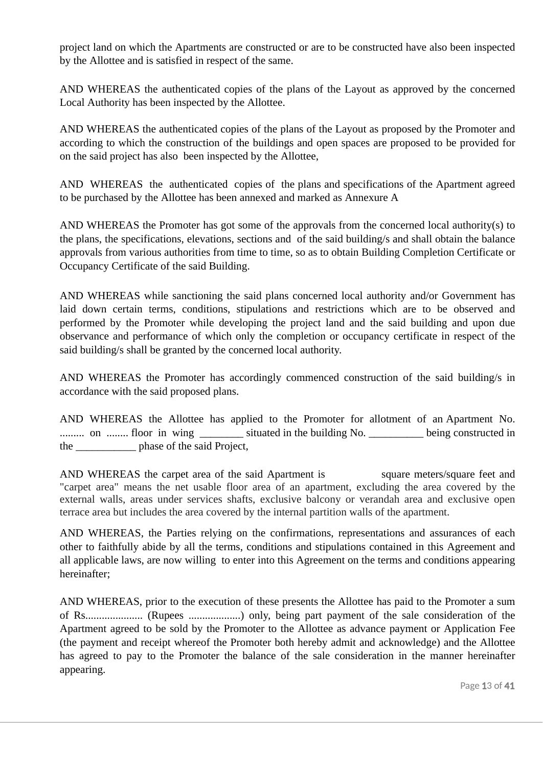project land on which the Apartments are constructed or are to be constructed have also been inspected by the Allottee and is satisfied in respect of the same.

AND WHEREAS the authenticated copies of the plans of the Layout as approved by the concerned Local Authority has been inspected by the Allottee.

AND WHEREAS the authenticated copies of the plans of the Layout as proposed by the Promoter and according to which the construction of the buildings and open spaces are proposed to be provided for on the said project has also been inspected by the Allottee,

AND WHEREAS the authenticated copies of the plans and specifications of the Apartment agreed to be purchased by the Allottee has been annexed and marked as Annexure A

AND WHEREAS the Promoter has got some of the approvals from the concerned local authority(s) to the plans, the specifications, elevations, sections and of the said building/s and shall obtain the balance approvals from various authorities from time to time, so as to obtain Building Completion Certificate or Occupancy Certificate of the said Building.

AND WHEREAS while sanctioning the said plans concerned local authority and/or Government has laid down certain terms, conditions, stipulations and restrictions which are to be observed and performed by the Promoter while developing the project land and the said building and upon due observance and performance of which only the completion or occupancy certificate in respect of the said building/s shall be granted by the concerned local authority.

AND WHEREAS the Promoter has accordingly commenced construction of the said building/s in accordance with the said proposed plans.

AND WHEREAS the Allottee has applied to the Promoter for allotment of an Apartment No. ......... on ........ floor in wing \_\_\_\_\_\_\_\_ situated in the building No. \_\_\_\_\_\_\_\_\_\_ being constructed in the \_\_\_\_\_\_\_\_\_\_\_ phase of the said Project,

AND WHEREAS the carpet area of the said Apartment is successful square meters/square feet and "carpet area" means the net usable floor area of an apartment, excluding the area covered by the external walls, areas under services shafts, exclusive balcony or verandah area and exclusive open terrace area but includes the area covered by the internal partition walls of the apartment.

AND WHEREAS, the Parties relying on the confirmations, representations and assurances of each other to faithfully abide by all the terms, conditions and stipulations contained in this Agreement and all applicable laws, are now willing to enter into this Agreement on the terms and conditions appearing hereinafter;

AND WHEREAS, prior to the execution of these presents the Allottee has paid to the Promoter a sum of Rs..................... (Rupees ...................) only, being part payment of the sale consideration of the Apartment agreed to be sold by the Promoter to the Allottee as advance payment or Application Fee (the payment and receipt whereof the Promoter both hereby admit and acknowledge) and the Allottee has agreed to pay to the Promoter the balance of the sale consideration in the manner hereinafter appearing.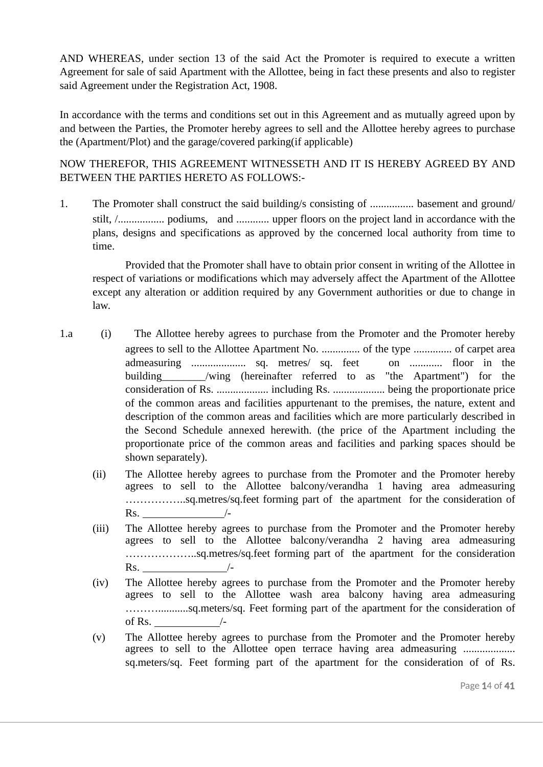AND WHEREAS, under section 13 of the said Act the Promoter is required to execute a written Agreement for sale of said Apartment with the Allottee, being in fact these presents and also to register said Agreement under the Registration Act, 1908.

In accordance with the terms and conditions set out in this Agreement and as mutually agreed upon by and between the Parties, the Promoter hereby agrees to sell and the Allottee hereby agrees to purchase the (Apartment/Plot) and the garage/covered parking(if applicable)

NOW THEREFOR, THIS AGREEMENT WITNESSETH AND IT IS HEREBY AGREED BY AND BETWEEN THE PARTIES HERETO AS FOLLOWS:-

1. The Promoter shall construct the said building/s consisting of ................ basement and ground/ stilt, /................. podiums, and ............ upper floors on the project land in accordance with the plans, designs and specifications as approved by the concerned local authority from time to time.

Provided that the Promoter shall have to obtain prior consent in writing of the Allottee in respect of variations or modifications which may adversely affect the Apartment of the Allottee except any alteration or addition required by any Government authorities or due to change in law.

- 1.a (i) The Allottee hereby agrees to purchase from the Promoter and the Promoter hereby agrees to sell to the Allottee Apartment No. .............. of the type .............. of carpet area admeasuring .................... sq. metres/ sq. feet on ............ floor in the building /wing (hereinafter referred to as "the Apartment") for the consideration of Rs. ................... including Rs. ................... being the proportionate price of the common areas and facilities appurtenant to the premises, the nature, extent and description of the common areas and facilities which are more particularly described in the Second Schedule annexed herewith. (the price of the Apartment including the proportionate price of the common areas and facilities and parking spaces should be shown separately).
	- (ii) The Allottee hereby agrees to purchase from the Promoter and the Promoter hereby agrees to sell to the Allottee balcony/verandha 1 having area admeasuring ……………..sq.metres/sq.feet forming part of the apartment for the consideration of  $\mathsf{Rs.}$  /-
	- (iii) The Allottee hereby agrees to purchase from the Promoter and the Promoter hereby agrees to sell to the Allottee balcony/verandha 2 having area admeasuring ………………..sq.metres/sq.feet forming part of the apartment for the consideration  $\text{Rs.}$  /-
	- (iv) The Allottee hereby agrees to purchase from the Promoter and the Promoter hereby agrees to sell to the Allottee wash area balcony having area admeasuring ………...........sq.meters/sq. Feet forming part of the apartment for the consideration of of Rs.  $\sqrt{2}$
	- (v) The Allottee hereby agrees to purchase from the Promoter and the Promoter hereby agrees to sell to the Allottee open terrace having area admeasuring ................... sq.meters/sq. Feet forming part of the apartment for the consideration of of Rs.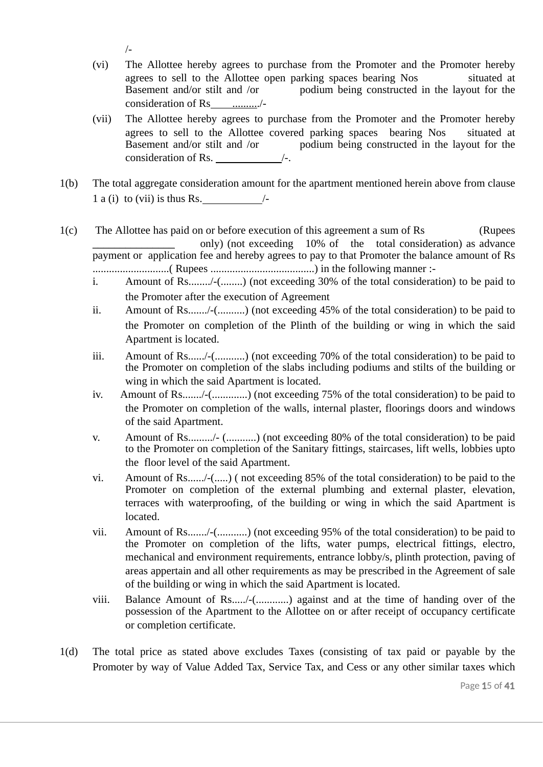- /-
- (vi) The Allottee hereby agrees to purchase from the Promoter and the Promoter hereby agrees to sell to the Allottee open parking spaces bearing Nos situated at Basement and/or stilt and /or podium being constructed in the layout for the consideration of Rs ........../-
- (vii) The Allottee hereby agrees to purchase from the Promoter and the Promoter hereby agrees to sell to the Allottee covered parking spaces bearing Nos situated at Basement and/or stilt and /or podium being constructed in the layout for the consideration of Rs. /-.
- 1(b) The total aggregate consideration amount for the apartment mentioned herein above from clause 1 a (i) to (vii) is thus Rs.  $\frac{1}{2}$  /-
- 1(c) The Allottee has paid on or before execution of this agreement a sum of Rs (Rupees only) (not exceeding 10% of the total consideration) as advance payment or application fee and hereby agrees to pay to that Promoter the balance amount of Rs ............................( Rupees ......................................) in the following manner :
	- i. Amount of Rs......../-(........) (not exceeding 30% of the total consideration) to be paid to the Promoter after the execution of Agreement
	- ii. Amount of Rs......./-(..........) (not exceeding 45% of the total consideration) to be paid to the Promoter on completion of the Plinth of the building or wing in which the said Apartment is located.
	- iii. Amount of Rs....../-(...........) (not exceeding 70% of the total consideration) to be paid to the Promoter on completion of the slabs including podiums and stilts of the building or wing in which the said Apartment is located.
	- iv. Amount of Rs......./-(.............) (not exceeding 75% of the total consideration) to be paid to the Promoter on completion of the walls, internal plaster, floorings doors and windows of the said Apartment.
	- v. Amount of Rs........./- (...........) (not exceeding 80% of the total consideration) to be paid to the Promoter on completion of the Sanitary fittings, staircases, lift wells, lobbies upto the floor level of the said Apartment.
	- vi. Amount of Rs....../-(.....) ( not exceeding 85% of the total consideration) to be paid to the Promoter on completion of the external plumbing and external plaster, elevation, terraces with waterproofing, of the building or wing in which the said Apartment is located.
	- vii. Amount of Rs......./-(...........) (not exceeding 95% of the total consideration) to be paid to the Promoter on completion of the lifts, water pumps, electrical fittings, electro, mechanical and environment requirements, entrance lobby/s, plinth protection, paving of areas appertain and all other requirements as may be prescribed in the Agreement of sale of the building or wing in which the said Apartment is located.
	- viii. Balance Amount of Rs...../-(............) against and at the time of handing over of the possession of the Apartment to the Allottee on or after receipt of occupancy certificate or completion certificate.
- 1(d) The total price as stated above excludes Taxes (consisting of tax paid or payable by the Promoter by way of Value Added Tax, Service Tax, and Cess or any other similar taxes which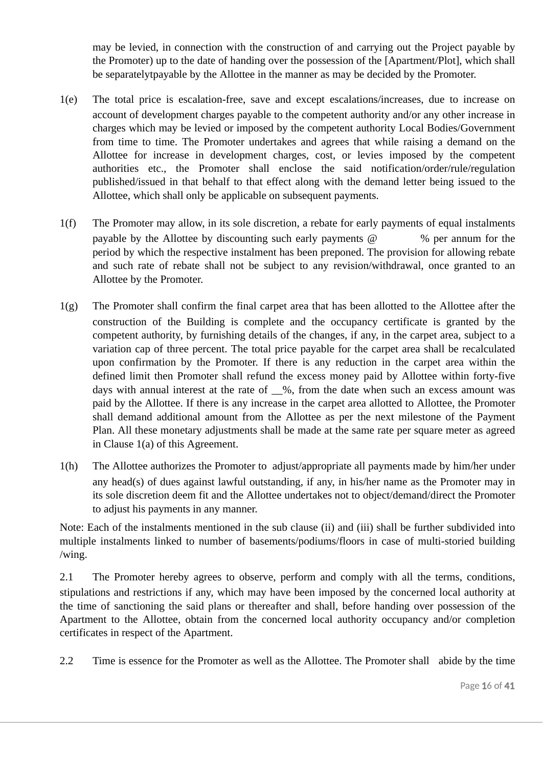may be levied, in connection with the construction of and carrying out the Project payable by the Promoter) up to the date of handing over the possession of the [Apartment/Plot], which shall be separatelytpayable by the Allottee in the manner as may be decided by the Promoter.

- 1(e) The total price is escalation-free, save and except escalations/increases, due to increase on account of development charges payable to the competent authority and/or any other increase in charges which may be levied or imposed by the competent authority Local Bodies/Government from time to time. The Promoter undertakes and agrees that while raising a demand on the Allottee for increase in development charges, cost, or levies imposed by the competent authorities etc., the Promoter shall enclose the said notification/order/rule/regulation published/issued in that behalf to that effect along with the demand letter being issued to the Allottee, which shall only be applicable on subsequent payments.
- 1(f) The Promoter may allow, in its sole discretion, a rebate for early payments of equal instalments payable by the Allottee by discounting such early payments  $\omega$  % per annum for the period by which the respective instalment has been preponed. The provision for allowing rebate and such rate of rebate shall not be subject to any revision/withdrawal, once granted to an Allottee by the Promoter.
- 1(g) The Promoter shall confirm the final carpet area that has been allotted to the Allottee after the construction of the Building is complete and the occupancy certificate is granted by the competent authority, by furnishing details of the changes, if any, in the carpet area, subject to a variation cap of three percent. The total price payable for the carpet area shall be recalculated upon confirmation by the Promoter. If there is any reduction in the carpet area within the defined limit then Promoter shall refund the excess money paid by Allottee within forty-five days with annual interest at the rate of  $\_\%$ , from the date when such an excess amount was paid by the Allottee. If there is any increase in the carpet area allotted to Allottee, the Promoter shall demand additional amount from the Allottee as per the next milestone of the Payment Plan. All these monetary adjustments shall be made at the same rate per square meter as agreed in Clause 1(a) of this Agreement.
- 1(h) The Allottee authorizes the Promoter to adjust/appropriate all payments made by him/her under any head(s) of dues against lawful outstanding, if any, in his/her name as the Promoter may in its sole discretion deem fit and the Allottee undertakes not to object/demand/direct the Promoter to adjust his payments in any manner.

Note: Each of the instalments mentioned in the sub clause (ii) and (iii) shall be further subdivided into multiple instalments linked to number of basements/podiums/floors in case of multi-storied building /wing.

2.1 The Promoter hereby agrees to observe, perform and comply with all the terms, conditions, stipulations and restrictions if any, which may have been imposed by the concerned local authority at the time of sanctioning the said plans or thereafter and shall, before handing over possession of the Apartment to the Allottee, obtain from the concerned local authority occupancy and/or completion certificates in respect of the Apartment.

2.2 Time is essence for the Promoter as well as the Allottee. The Promoter shall abide by the time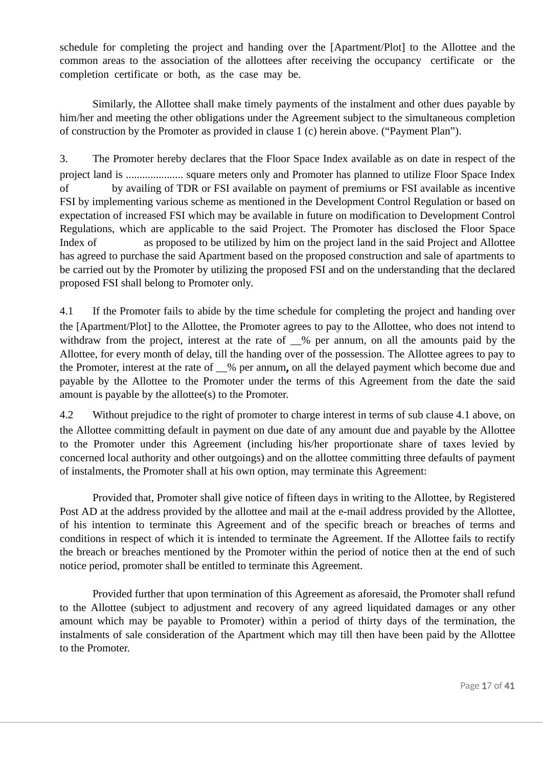schedule for completing the project and handing over the [Apartment/Plot] to the Allottee and the common areas to the association of the allottees after receiving the occupancy certificate or the completion certificate or both, as the case may be.

Similarly, the Allottee shall make timely payments of the instalment and other dues payable by him/her and meeting the other obligations under the Agreement subject to the simultaneous completion of construction by the Promoter as provided in clause 1 (c) herein above. ("Payment Plan").

3. The Promoter hereby declares that the Floor Space Index available as on date in respect of the project land is ..................... square meters only and Promoter has planned to utilize Floor Space Index of by availing of TDR or FSI available on payment of premiums or FSI available as incentive FSI by implementing various scheme as mentioned in the Development Control Regulation or based on expectation of increased FSI which may be available in future on modification to Development Control Regulations, which are applicable to the said Project. The Promoter has disclosed the Floor Space Index of as proposed to be utilized by him on the project land in the said Project and Allottee has agreed to purchase the said Apartment based on the proposed construction and sale of apartments to be carried out by the Promoter by utilizing the proposed FSI and on the understanding that the declared proposed FSI shall belong to Promoter only.

4.1 If the Promoter fails to abide by the time schedule for completing the project and handing over the [Apartment/Plot] to the Allottee, the Promoter agrees to pay to the Allottee, who does not intend to withdraw from the project, interest at the rate of  $\_\%$  per annum, on all the amounts paid by the Allottee, for every month of delay, till the handing over of the possession. The Allottee agrees to pay to the Promoter, interest at the rate of  $\%$  per annum, on all the delayed payment which become due and payable by the Allottee to the Promoter under the terms of this Agreement from the date the said amount is payable by the allottee(s) to the Promoter.

4.2 Without prejudice to the right of promoter to charge interest in terms of sub clause 4.1 above, on the Allottee committing default in payment on due date of any amount due and payable by the Allottee to the Promoter under this Agreement (including his/her proportionate share of taxes levied by concerned local authority and other outgoings) and on the allottee committing three defaults of payment of instalments, the Promoter shall at his own option, may terminate this Agreement:

Provided that, Promoter shall give notice of fifteen days in writing to the Allottee, by Registered Post AD at the address provided by the allottee and mail at the e-mail address provided by the Allottee, of his intention to terminate this Agreement and of the specific breach or breaches of terms and conditions in respect of which it is intended to terminate the Agreement. If the Allottee fails to rectify the breach or breaches mentioned by the Promoter within the period of notice then at the end of such notice period, promoter shall be entitled to terminate this Agreement.

Provided further that upon termination of this Agreement as aforesaid, the Promoter shall refund to the Allottee (subject to adjustment and recovery of any agreed liquidated damages or any other amount which may be payable to Promoter) within a period of thirty days of the termination, the instalments of sale consideration of the Apartment which may till then have been paid by the Allottee to the Promoter.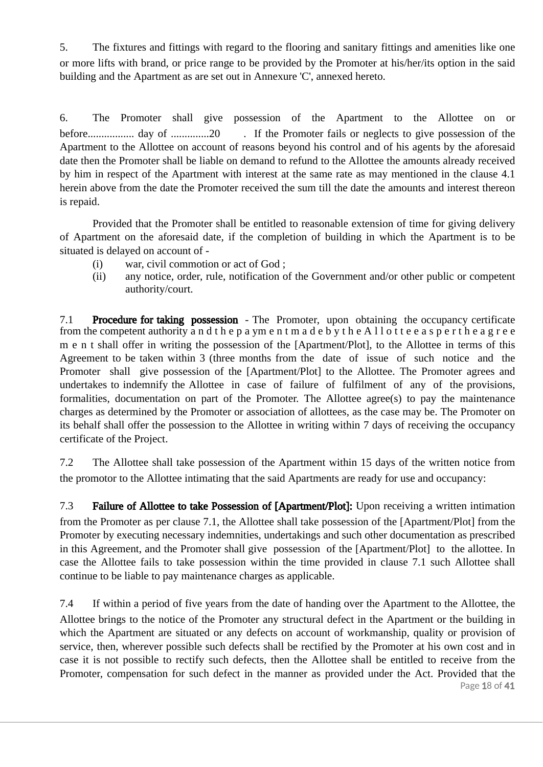5. The fixtures and fittings with regard to the flooring and sanitary fittings and amenities like one or more lifts with brand, or price range to be provided by the Promoter at his/her/its option in the said building and the Apartment as are set out in Annexure 'C', annexed hereto.

6. The Promoter shall give possession of the Apartment to the Allottee on or before................. day of ..............20 . If the Promoter fails or neglects to give possession of the Apartment to the Allottee on account of reasons beyond his control and of his agents by the aforesaid date then the Promoter shall be liable on demand to refund to the Allottee the amounts already received by him in respect of the Apartment with interest at the same rate as may mentioned in the clause 4.1 herein above from the date the Promoter received the sum till the date the amounts and interest thereon is repaid.

Provided that the Promoter shall be entitled to reasonable extension of time for giving delivery of Apartment on the aforesaid date, if the completion of building in which the Apartment is to be situated is delayed on account of -

- (i) war, civil commotion or act of God ;
- (ii) any notice, order, rule, notification of the Government and/or other public or competent authority/court.

7.1 **Procedure for taking possession** - The Promoter, upon obtaining the occupancy certificate from the competent authority a n d t h e p a ym en t m ad e b y t h e A l l o t t e e a s p e r t h e a g r e e m e n t shall offer in writing the possession of the [Apartment/Plot], to the Allottee in terms of this Agreement to be taken within 3 (three months from the date of issue of such notice and the Promoter shall give possession of the [Apartment/Plot] to the Allottee. The Promoter agrees and undertakes to indemnify the Allottee in case of failure of fulfilment of any of the provisions, formalities, documentation on part of the Promoter. The Allottee agree(s) to pay the maintenance charges as determined by the Promoter or association of allottees, as the case may be. The Promoter on its behalf shall offer the possession to the Allottee in writing within 7 days of receiving the occupancy certificate of the Project.

7.2 The Allottee shall take possession of the Apartment within 15 days of the written notice from the promotor to the Allottee intimating that the said Apartments are ready for use and occupancy:

7.3 Failure of Allottee to take Possession of [Apartment/Plot]: Upon receiving a written intimation from the Promoter as per clause 7.1, the Allottee shall take possession of the [Apartment/Plot] from the Promoter by executing necessary indemnities, undertakings and such other documentation as prescribed in this Agreement, and the Promoter shall give possession of the [Apartment/Plot] to the allottee. In case the Allottee fails to take possession within the time provided in clause 7.1 such Allottee shall continue to be liable to pay maintenance charges as applicable.

Page 18 of 41 7.4 If within a period of five years from the date of handing over the Apartment to the Allottee, the Allottee brings to the notice of the Promoter any structural defect in the Apartment or the building in which the Apartment are situated or any defects on account of workmanship, quality or provision of service, then, wherever possible such defects shall be rectified by the Promoter at his own cost and in case it is not possible to rectify such defects, then the Allottee shall be entitled to receive from the Promoter, compensation for such defect in the manner as provided under the Act. Provided that the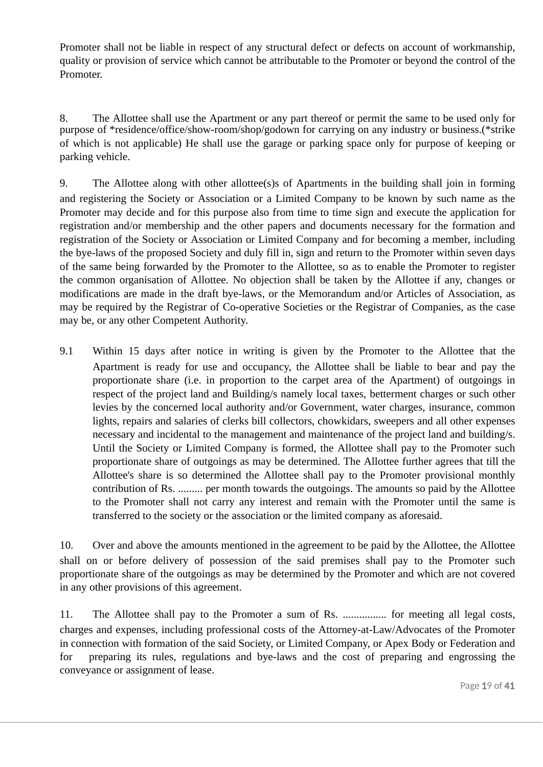Promoter shall not be liable in respect of any structural defect or defects on account of workmanship, quality or provision of service which cannot be attributable to the Promoter or beyond the control of the Promoter.

8. The Allottee shall use the Apartment or any part thereof or permit the same to be used only for purpose of \*residence/office/show-room/shop/godown for carrying on any industry or business.(\*strike of which is not applicable) He shall use the garage or parking space only for purpose of keeping or parking vehicle.

9. The Allottee along with other allottee(s)s of Apartments in the building shall join in forming and registering the Society or Association or a Limited Company to be known by such name as the Promoter may decide and for this purpose also from time to time sign and execute the application for registration and/or membership and the other papers and documents necessary for the formation and registration of the Society or Association or Limited Company and for becoming a member, including the bye-laws of the proposed Society and duly fill in, sign and return to the Promoter within seven days of the same being forwarded by the Promoter to the Allottee, so as to enable the Promoter to register the common organisation of Allottee. No objection shall be taken by the Allottee if any, changes or modifications are made in the draft bye-laws, or the Memorandum and/or Articles of Association, as may be required by the Registrar of Co-operative Societies or the Registrar of Companies, as the case may be, or any other Competent Authority.

9.1 Within 15 days after notice in writing is given by the Promoter to the Allottee that the Apartment is ready for use and occupancy, the Allottee shall be liable to bear and pay the proportionate share (i.e. in proportion to the carpet area of the Apartment) of outgoings in respect of the project land and Building/s namely local taxes, betterment charges or such other levies by the concerned local authority and/or Government, water charges, insurance, common lights, repairs and salaries of clerks bill collectors, chowkidars, sweepers and all other expenses necessary and incidental to the management and maintenance of the project land and building/s. Until the Society or Limited Company is formed, the Allottee shall pay to the Promoter such proportionate share of outgoings as may be determined. The Allottee further agrees that till the Allottee's share is so determined the Allottee shall pay to the Promoter provisional monthly contribution of Rs. ......... per month towards the outgoings. The amounts so paid by the Allottee to the Promoter shall not carry any interest and remain with the Promoter until the same is transferred to the society or the association or the limited company as aforesaid.

10. Over and above the amounts mentioned in the agreement to be paid by the Allottee, the Allottee shall on or before delivery of possession of the said premises shall pay to the Promoter such proportionate share of the outgoings as may be determined by the Promoter and which are not covered in any other provisions of this agreement.

11. The Allottee shall pay to the Promoter a sum of Rs. ................ for meeting all legal costs, charges and expenses, including professional costs of the Attorney-at-Law/Advocates of the Promoter in connection with formation of the said Society, or Limited Company, or Apex Body or Federation and for preparing its rules, regulations and bye-laws and the cost of preparing and engrossing the conveyance or assignment of lease.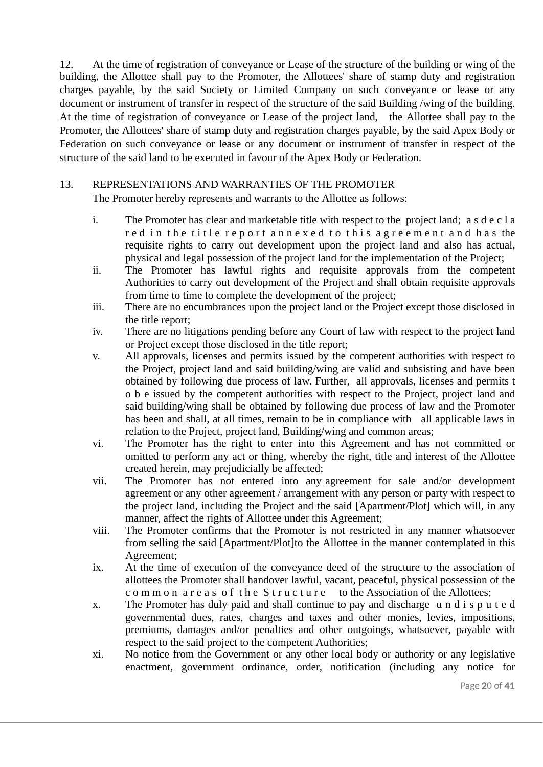12. At the time of registration of conveyance or Lease of the structure of the building or wing of the building, the Allottee shall pay to the Promoter, the Allottees' share of stamp duty and registration charges payable, by the said Society or Limited Company on such conveyance or lease or any document or instrument of transfer in respect of the structure of the said Building /wing of the building. At the time of registration of conveyance or Lease of the project land, the Allottee shall pay to the Promoter, the Allottees' share of stamp duty and registration charges payable, by the said Apex Body or Federation on such conveyance or lease or any document or instrument of transfer in respect of the structure of the said land to be executed in favour of the Apex Body or Federation.

#### 13. REPRESENTATIONS AND WARRANTIES OF THE PROMOTER

The Promoter hereby represents and warrants to the Allottee as follows:

- i. The Promoter has clear and marketable title with respect to the project land; a s d e c l a red in the title report annexed to this agreement and has the requisite rights to carry out development upon the project land and also has actual, physical and legal possession of the project land for the implementation of the Project;
- ii. The Promoter has lawful rights and requisite approvals from the competent Authorities to carry out development of the Project and shall obtain requisite approvals from time to time to complete the development of the project;
- iii. There are no encumbrances upon the project land or the Project except those disclosed in the title report;
- iv. There are no litigations pending before any Court of law with respect to the project land or Project except those disclosed in the title report;
- v. All approvals, licenses and permits issued by the competent authorities with respect to the Project, project land and said building/wing are valid and subsisting and have been obtained by following due process of law. Further, all approvals, licenses and permits t o b e issued by the competent authorities with respect to the Project, project land and said building/wing shall be obtained by following due process of law and the Promoter has been and shall, at all times, remain to be in compliance with all applicable laws in relation to the Project, project land, Building/wing and common areas;
- vi. The Promoter has the right to enter into this Agreement and has not committed or omitted to perform any act or thing, whereby the right, title and interest of the Allottee created herein, may prejudicially be affected;
- vii. The Promoter has not entered into any agreement for sale and/or development agreement or any other agreement / arrangement with any person or party with respect to the project land, including the Project and the said [Apartment/Plot] which will, in any manner, affect the rights of Allottee under this Agreement;
- viii. The Promoter confirms that the Promoter is not restricted in any manner whatsoever from selling the said [Apartment/Plot]to the Allottee in the manner contemplated in this Agreement;
- ix. At the time of execution of the conveyance deed of the structure to the association of allottees the Promoter shall handover lawful, vacant, peaceful, physical possession of the c o m m o n a r e a s o f the Structure to the Association of the Allottees;
- x. The Promoter has duly paid and shall continue to pay and discharge u n d i s p u t e d governmental dues, rates, charges and taxes and other monies, levies, impositions, premiums, damages and/or penalties and other outgoings, whatsoever, payable with respect to the said project to the competent Authorities;
- xi. No notice from the Government or any other local body or authority or any legislative enactment, government ordinance, order, notification (including any notice for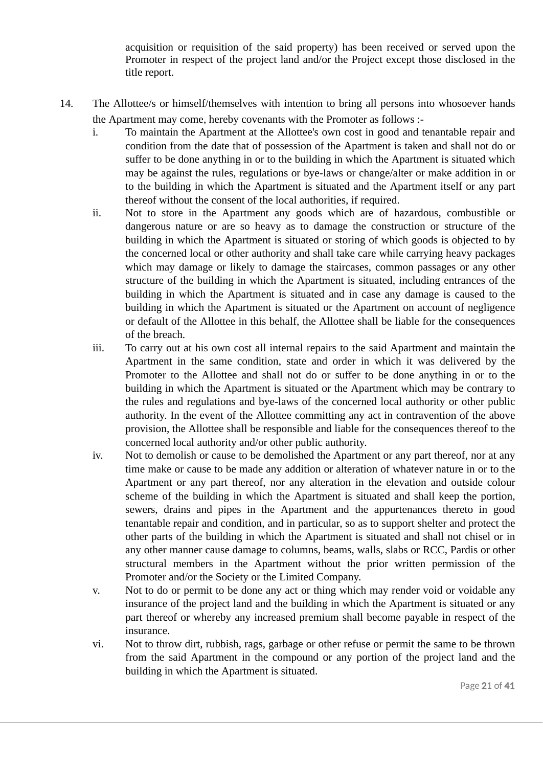acquisition or requisition of the said property) has been received or served upon the Promoter in respect of the project land and/or the Project except those disclosed in the title report.

- 14. The Allottee/s or himself/themselves with intention to bring all persons into whosoever hands the Apartment may come, hereby covenants with the Promoter as follows :
	- i. To maintain the Apartment at the Allottee's own cost in good and tenantable repair and condition from the date that of possession of the Apartment is taken and shall not do or suffer to be done anything in or to the building in which the Apartment is situated which may be against the rules, regulations or bye-laws or change/alter or make addition in or to the building in which the Apartment is situated and the Apartment itself or any part thereof without the consent of the local authorities, if required.
	- ii. Not to store in the Apartment any goods which are of hazardous, combustible or dangerous nature or are so heavy as to damage the construction or structure of the building in which the Apartment is situated or storing of which goods is objected to by the concerned local or other authority and shall take care while carrying heavy packages which may damage or likely to damage the staircases, common passages or any other structure of the building in which the Apartment is situated, including entrances of the building in which the Apartment is situated and in case any damage is caused to the building in which the Apartment is situated or the Apartment on account of negligence or default of the Allottee in this behalf, the Allottee shall be liable for the consequences of the breach.
	- iii. To carry out at his own cost all internal repairs to the said Apartment and maintain the Apartment in the same condition, state and order in which it was delivered by the Promoter to the Allottee and shall not do or suffer to be done anything in or to the building in which the Apartment is situated or the Apartment which may be contrary to the rules and regulations and bye-laws of the concerned local authority or other public authority. In the event of the Allottee committing any act in contravention of the above provision, the Allottee shall be responsible and liable for the consequences thereof to the concerned local authority and/or other public authority.
	- iv. Not to demolish or cause to be demolished the Apartment or any part thereof, nor at any time make or cause to be made any addition or alteration of whatever nature in or to the Apartment or any part thereof, nor any alteration in the elevation and outside colour scheme of the building in which the Apartment is situated and shall keep the portion, sewers, drains and pipes in the Apartment and the appurtenances thereto in good tenantable repair and condition, and in particular, so as to support shelter and protect the other parts of the building in which the Apartment is situated and shall not chisel or in any other manner cause damage to columns, beams, walls, slabs or RCC, Pardis or other structural members in the Apartment without the prior written permission of the Promoter and/or the Society or the Limited Company.
	- v. Not to do or permit to be done any act or thing which may render void or voidable any insurance of the project land and the building in which the Apartment is situated or any part thereof or whereby any increased premium shall become payable in respect of the insurance.
	- vi. Not to throw dirt, rubbish, rags, garbage or other refuse or permit the same to be thrown from the said Apartment in the compound or any portion of the project land and the building in which the Apartment is situated.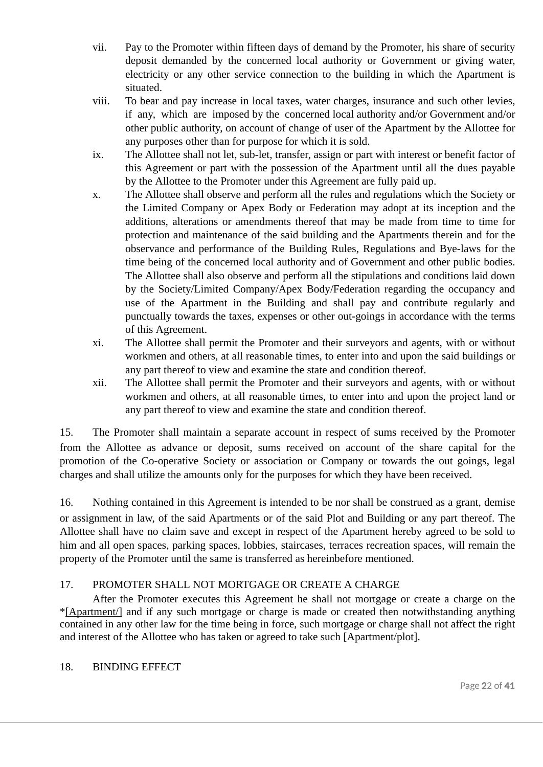- vii. Pay to the Promoter within fifteen days of demand by the Promoter, his share of security deposit demanded by the concerned local authority or Government or giving water, electricity or any other service connection to the building in which the Apartment is situated.
- viii. To bear and pay increase in local taxes, water charges, insurance and such other levies, if any, which are imposed by the concerned local authority and/or Government and/or other public authority, on account of change of user of the Apartment by the Allottee for any purposes other than for purpose for which it is sold.
- ix. The Allottee shall not let, sub-let, transfer, assign or part with interest or benefit factor of this Agreement or part with the possession of the Apartment until all the dues payable by the Allottee to the Promoter under this Agreement are fully paid up.
- x. The Allottee shall observe and perform all the rules and regulations which the Society or the Limited Company or Apex Body or Federation may adopt at its inception and the additions, alterations or amendments thereof that may be made from time to time for protection and maintenance of the said building and the Apartments therein and for the observance and performance of the Building Rules, Regulations and Bye-laws for the time being of the concerned local authority and of Government and other public bodies. The Allottee shall also observe and perform all the stipulations and conditions laid down by the Society/Limited Company/Apex Body/Federation regarding the occupancy and use of the Apartment in the Building and shall pay and contribute regularly and punctually towards the taxes, expenses or other out-goings in accordance with the terms of this Agreement.
- xi. The Allottee shall permit the Promoter and their surveyors and agents, with or without workmen and others, at all reasonable times, to enter into and upon the said buildings or any part thereof to view and examine the state and condition thereof.
- xii. The Allottee shall permit the Promoter and their surveyors and agents, with or without workmen and others, at all reasonable times, to enter into and upon the project land or any part thereof to view and examine the state and condition thereof.

15. The Promoter shall maintain a separate account in respect of sums received by the Promoter from the Allottee as advance or deposit, sums received on account of the share capital for the promotion of the Co-operative Society or association or Company or towards the out goings, legal charges and shall utilize the amounts only for the purposes for which they have been received.

16. Nothing contained in this Agreement is intended to be nor shall be construed as a grant, demise or assignment in law, of the said Apartments or of the said Plot and Building or any part thereof. The Allottee shall have no claim save and except in respect of the Apartment hereby agreed to be sold to him and all open spaces, parking spaces, lobbies, staircases, terraces recreation spaces, will remain the property of the Promoter until the same is transferred as hereinbefore mentioned.

#### 17. PROMOTER SHALL NOT MORTGAGE OR CREATE A CHARGE

After the Promoter executes this Agreement he shall not mortgage or create a charge on the \*[Apartment/] and if any such mortgage or charge is made or created then notwithstanding anything contained in any other law for the time being in force, such mortgage or charge shall not affect the right and interest of the Allottee who has taken or agreed to take such [Apartment/plot].

#### 18. BINDING EFFECT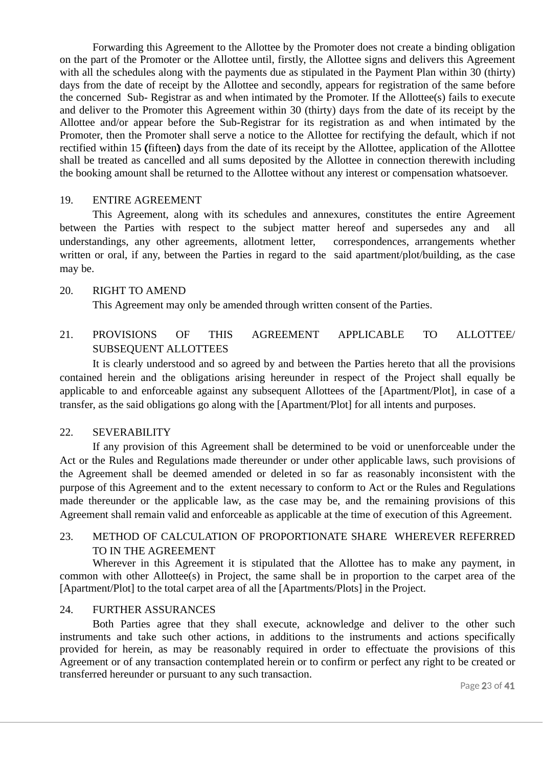Forwarding this Agreement to the Allottee by the Promoter does not create a binding obligation on the part of the Promoter or the Allottee until, firstly, the Allottee signs and delivers this Agreement with all the schedules along with the payments due as stipulated in the Payment Plan within 30 (thirty) days from the date of receipt by the Allottee and secondly, appears for registration of the same before the concerned Sub- Registrar as and when intimated by the Promoter. If the Allottee(s) fails to execute and deliver to the Promoter this Agreement within 30 (thirty) days from the date of its receipt by the Allottee and/or appear before the Sub-Registrar for its registration as and when intimated by the Promoter, then the Promoter shall serve a notice to the Allottee for rectifying the default, which if not rectified within 15 (fifteen) days from the date of its receipt by the Allottee, application of the Allottee shall be treated as cancelled and all sums deposited by the Allottee in connection therewith including the booking amount shall be returned to the Allottee without any interest or compensation whatsoever.

#### 19. ENTIRE AGREEMENT

This Agreement, along with its schedules and annexures, constitutes the entire Agreement between the Parties with respect to the subject matter hereof and supersedes any and all understandings, any other agreements, allotment letter, correspondences, arrangements whether written or oral, if any, between the Parties in regard to the said apartment/plot/building, as the case may be.

#### 20. RIGHT TO AMEND

This Agreement may only be amended through written consent of the Parties.

#### 21. PROVISIONS OF THIS AGREEMENT APPLICABLE TO ALLOTTEE/ SUBSEQUENT ALLOTTEES

It is clearly understood and so agreed by and between the Parties hereto that all the provisions contained herein and the obligations arising hereunder in respect of the Project shall equally be applicable to and enforceable against any subsequent Allottees of the [Apartment/Plot], in case of a transfer, as the said obligations go along with the [Apartment/Plot] for all intents and purposes.

#### 22. SEVERABILITY

If any provision of this Agreement shall be determined to be void or unenforceable under the Act or the Rules and Regulations made thereunder or under other applicable laws, such provisions of the Agreement shall be deemed amended or deleted in so far as reasonably inconsistent with the purpose of this Agreement and to the extent necessary to conform to Act or the Rules and Regulations made thereunder or the applicable law, as the case may be, and the remaining provisions of this Agreement shall remain valid and enforceable as applicable at the time of execution of this Agreement.

#### 23. METHOD OF CALCULATION OF PROPORTIONATE SHARE WHEREVER REFERRED TO IN THE AGREEMENT

Wherever in this Agreement it is stipulated that the Allottee has to make any payment, in common with other Allottee(s) in Project, the same shall be in proportion to the carpet area of the [Apartment/Plot] to the total carpet area of all the [Apartments/Plots] in the Project.

#### 24. FURTHER ASSURANCES

Both Parties agree that they shall execute, acknowledge and deliver to the other such instruments and take such other actions, in additions to the instruments and actions specifically provided for herein, as may be reasonably required in order to effectuate the provisions of this Agreement or of any transaction contemplated herein or to confirm or perfect any right to be created or transferred hereunder or pursuant to any such transaction.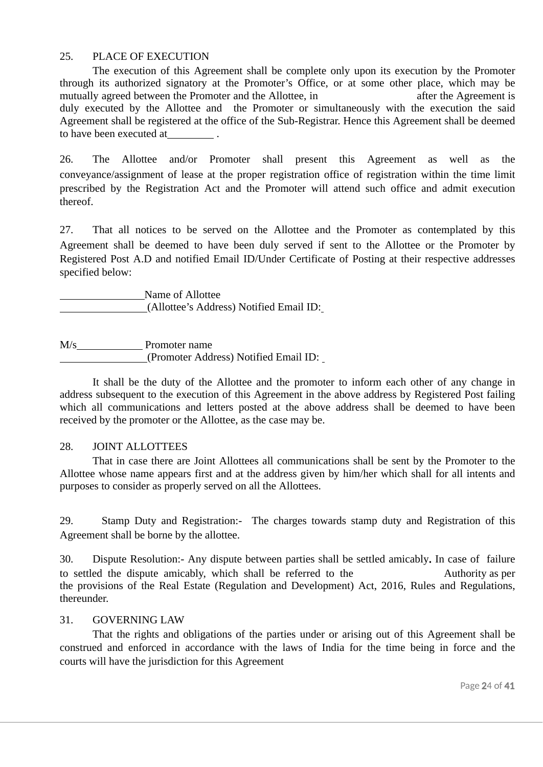#### 25. PLACE OF EXECUTION

The execution of this Agreement shall be complete only upon its execution by the Promoter through its authorized signatory at the Promoter's Office, or at some other place, which may be mutually agreed between the Promoter and the Allottee, in **and here is a mutually agreement** is duly executed by the Allottee and the Promoter or simultaneously with the execution the said Agreement shall be registered at the office of the Sub-Registrar. Hence this Agreement shall be deemed to have been executed at .

26. The Allottee and/or Promoter shall present this Agreement as well as the conveyance/assignment of lease at the proper registration office of registration within the time limit prescribed by the Registration Act and the Promoter will attend such office and admit execution thereof.

27. That all notices to be served on the Allottee and the Promoter as contemplated by this Agreement shall be deemed to have been duly served if sent to the Allottee or the Promoter by Registered Post A.D and notified Email ID/Under Certificate of Posting at their respective addresses specified below:

Name of Allottee (Allottee's Address) Notified Email ID:

M/s Promoter name (Promoter Address) Notified Email ID:

It shall be the duty of the Allottee and the promoter to inform each other of any change in address subsequent to the execution of this Agreement in the above address by Registered Post failing which all communications and letters posted at the above address shall be deemed to have been received by the promoter or the Allottee, as the case may be.

#### 28. JOINT ALLOTTEES

That in case there are Joint Allottees all communications shall be sent by the Promoter to the Allottee whose name appears first and at the address given by him/her which shall for all intents and purposes to consider as properly served on all the Allottees.

29. Stamp Duty and Registration:- The charges towards stamp duty and Registration of this Agreement shall be borne by the allottee.

30. Dispute Resolution:- Any dispute between parties shall be settled amicably. In case of failure to settled the dispute amicably, which shall be referred to the **Authority** as per the provisions of the Real Estate (Regulation and Development) Act, 2016, Rules and Regulations, thereunder.

#### 31. GOVERNING LAW

That the rights and obligations of the parties under or arising out of this Agreement shall be construed and enforced in accordance with the laws of India for the time being in force and the courts will have the jurisdiction for this Agreement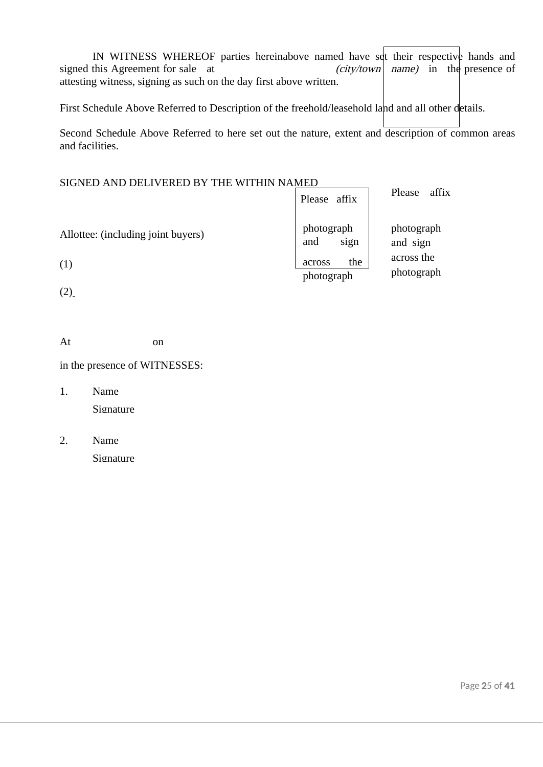IN WITNESS WHEREOF parties hereinabove named have set their respective hands and signed this Agreement for sale at  $(city/town \mid name)$  in the presence of attesting witness, signing as such on the day first above written.

First Schedule Above Referred to Description of the freehold/leasehold land and all other details.

Second Schedule Above Referred to here set out the nature, extent and description of common areas and facilities.

| SIGNED AND DELIVERED BY THE WITHIN NAMED |                             |                          |
|------------------------------------------|-----------------------------|--------------------------|
|                                          | Please affix                | Please<br>affix          |
| Allottee: (including joint buyers)       | photograph<br>sign<br>and   | photograph<br>and sign   |
| (1)                                      | the<br>across<br>photograph | across the<br>photograph |
| (2)                                      |                             |                          |

At on

in the presence of WITNESSES:

- 1. Name Signature
- 2. Name Signature \_\_\_\_\_\_\_\_\_\_\_\_\_\_\_\_\_\_\_\_\_\_\_\_\_\_\_\_\_\_\_\_\_\_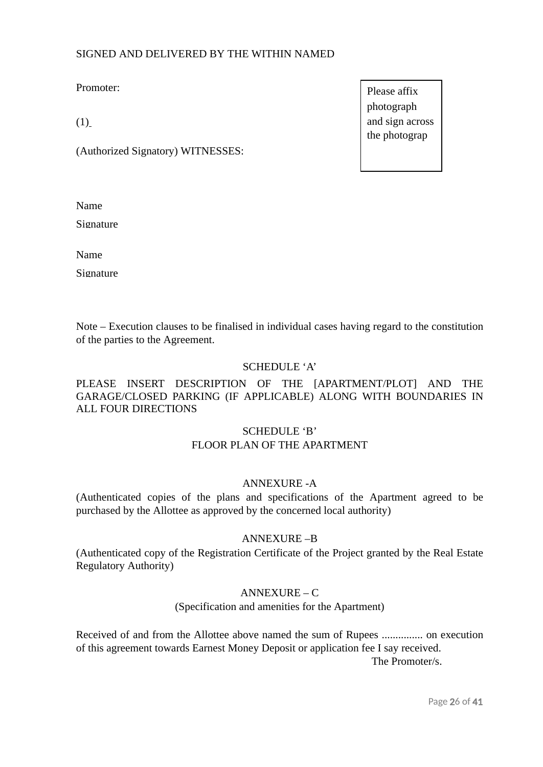#### SIGNED AND DELIVERED BY THE WITHIN NAMED

Promoter:

 $(1)$ 

(Authorized Signatory) WITNESSES:

 $\mathbf{Name}$ 

Signature

 $N$ ame  $\blacksquare$ 

Signature

Note – Execution clauses to be finalised in individual cases having regard to the constitution of the parties to the Agreement.

#### SCHEDULE 'A'

#### PLEASE INSERT DESCRIPTION OF THE [APARTMENT/PLOT] AND THE GARAGE/CLOSED PARKING (IF APPLICABLE) ALONG WITH BOUNDARIES IN ALL FOUR DIRECTIONS

#### SCHEDULE 'B' FLOOR PLAN OF THE APARTMENT

#### ANNEXURE -A

(Authenticated copies of the plans and specifications of the Apartment agreed to be purchased by the Allottee as approved by the concerned local authority)

#### ANNEXURE –B

(Authenticated copy of the Registration Certificate of the Project granted by the Real Estate Regulatory Authority)

#### ANNEXURE – C

(Specification and amenities for the Apartment)

Received of and from the Allottee above named the sum of Rupees ............... on execution of this agreement towards Earnest Money Deposit or application fee I say received. The Promoter/s.

Please affix photograph and sign across the photograp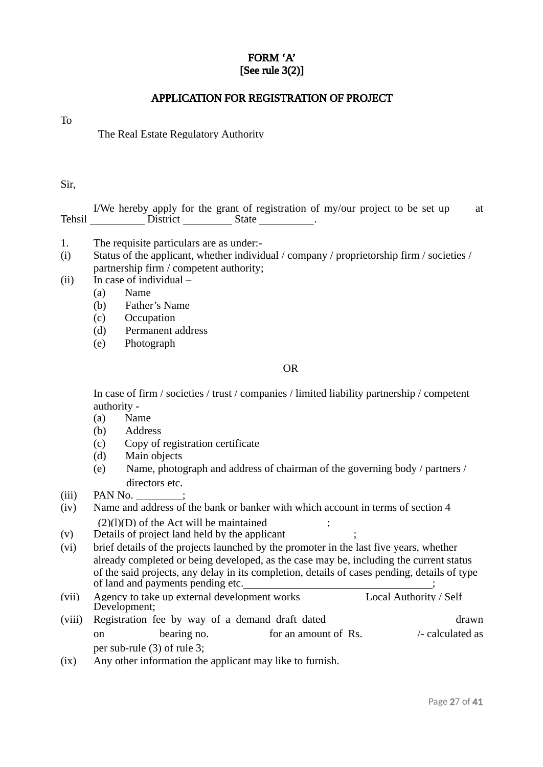#### FORM 'A' [See rule 3(2)]

#### APPLICATION FOR REGISTRATION OF PROJECT

To

The Real Estate Regulatory Authority

#### Sir,

I/We hereby apply for the grant of registration of my/our project to be set up at *minimum* Tehsil District State .

- 1. The requisite particulars are as under:-
- (i) Status of the applicant, whether individual / company / proprietorship firm / societies / partnership firm / competent authority;
- (ii) In case of individual
	- (a) Name
	- (b) Father's Name
	- (c) Occupation
	- (d) Permanent address
	- (e) Photograph

#### OR

In case of firm / societies / trust / companies / limited liability partnership / competent authority -

- (a) Name
- (b) Address
- (c) Copy of registration certificate
- (d) Main objects
- (e) Name, photograph and address of chairman of the governing body / partners / directors etc.
- (iii) PAN No. ;
- (iv) Name and address of the bank or banker with which account in terms of section 4  $(2)(1)(D)$  of the Act will be maintained
- (v) Details of project land held by the applicant ;
- (vi) brief details of the projects launched by the promoter in the last five years, whether already completed or being developed, as the case may be, including the current status of the said projects, any delay in its completion, details of cases pending, details of type of land and payments pending etc.  $\hspace{1.5cm}$  ;
- (vii) Agency to take up external development works Local Authority / Self Development;
- (viii) Registration fee by way of a demand draft dated drawn drawn on bearing no. **for an amount of Rs. hold calculated as** per sub-rule (3) of rule 3;
- (ix) Any other information the applicant may like to furnish.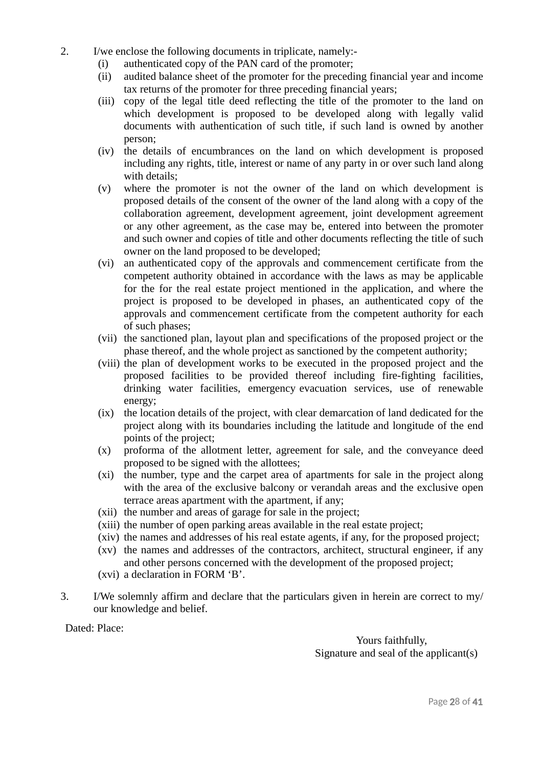- 2. I/we enclose the following documents in triplicate, namely:-
	- (i) authenticated copy of the PAN card of the promoter;
	- (ii) audited balance sheet of the promoter for the preceding financial year and income tax returns of the promoter for three preceding financial years;
	- (iii) copy of the legal title deed reflecting the title of the promoter to the land on which development is proposed to be developed along with legally valid documents with authentication of such title, if such land is owned by another person;
	- (iv) the details of encumbrances on the land on which development is proposed including any rights, title, interest or name of any party in or over such land along with details;
	- (v) where the promoter is not the owner of the land on which development is proposed details of the consent of the owner of the land along with a copy of the collaboration agreement, development agreement, joint development agreement or any other agreement, as the case may be, entered into between the promoter and such owner and copies of title and other documents reflecting the title of such owner on the land proposed to be developed;
	- (vi) an authenticated copy of the approvals and commencement certificate from the competent authority obtained in accordance with the laws as may be applicable for the for the real estate project mentioned in the application, and where the project is proposed to be developed in phases, an authenticated copy of the approvals and commencement certificate from the competent authority for each of such phases;
	- (vii) the sanctioned plan, layout plan and specifications of the proposed project or the phase thereof, and the whole project as sanctioned by the competent authority;
	- (viii) the plan of development works to be executed in the proposed project and the proposed facilities to be provided thereof including fire-fighting facilities, drinking water facilities, emergency evacuation services, use of renewable energy;
	- (ix) the location details of the project, with clear demarcation of land dedicated for the project along with its boundaries including the latitude and longitude of the end points of the project;
	- (x) proforma of the allotment letter, agreement for sale, and the conveyance deed proposed to be signed with the allottees;
	- (xi) the number, type and the carpet area of apartments for sale in the project along with the area of the exclusive balcony or verandah areas and the exclusive open terrace areas apartment with the apartment, if any;
	- (xii) the number and areas of garage for sale in the project;
	- (xiii) the number of open parking areas available in the real estate project;
	- (xiv) the names and addresses of his real estate agents, if any, for the proposed project;
	- (xv) the names and addresses of the contractors, architect, structural engineer, if any and other persons concerned with the development of the proposed project;
	- (xvi) a declaration in FORM 'B'.
- 3. I/We solemnly affirm and declare that the particulars given in herein are correct to my/ our knowledge and belief.

Dated: Place:

Yours faithfully, Signature and seal of the applicant(s)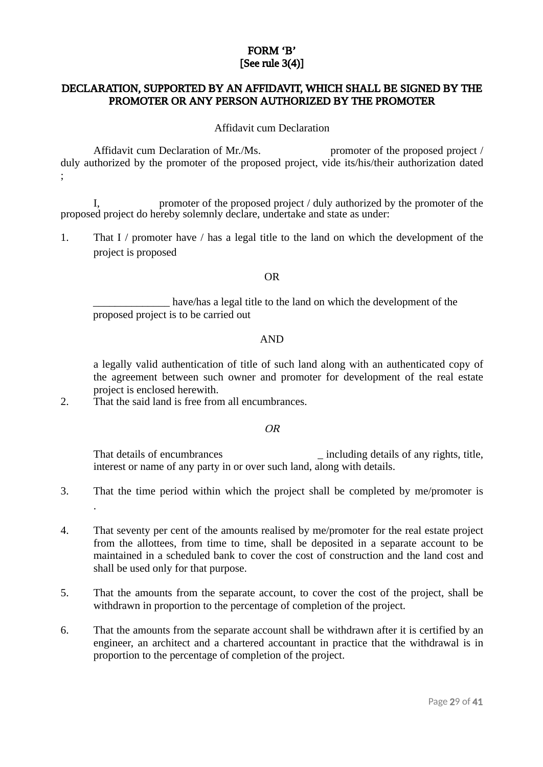#### FORM 'B' [See rule 3(4)]

### DECLARATION, SUPPORTED BY AN AFFIDAVIT, WHICH SHALL BE SIGNED BY THE PROMOTER OR ANY PERSON AUTHORIZED BY THE PROMOTER

Affidavit cum Declaration

Affidavit cum Declaration of Mr./Ms. promoter of the proposed project / duly authorized by the promoter of the proposed project, vide its/his/their authorization dated ;

I, promoter of the proposed project / duly authorized by the promoter of the proposed project do hereby solemnly declare, undertake and state as under:

1. That I / promoter have / has a legal title to the land on which the development of the project is proposed

#### OR

have/has a legal title to the land on which the development of the proposed project is to be carried out

#### AND

a legally valid authentication of title of such land along with an authenticated copy of the agreement between such owner and promoter for development of the real estate project is enclosed herewith.

2. That the said land is free from all encumbrances.

#### OR

That details of encumbrances **including details of any rights**, title, interest or name of any party in or over such land, along with details.

- 3. That the time period within which the project shall be completed by me/promoter is .
- 4. That seventy per cent of the amounts realised by me/promoter for the real estate project from the allottees, from time to time, shall be deposited in a separate account to be maintained in a scheduled bank to cover the cost of construction and the land cost and shall be used only for that purpose.
- 5. That the amounts from the separate account, to cover the cost of the project, shall be withdrawn in proportion to the percentage of completion of the project.
- 6. That the amounts from the separate account shall be withdrawn after it is certified by an engineer, an architect and a chartered accountant in practice that the withdrawal is in proportion to the percentage of completion of the project.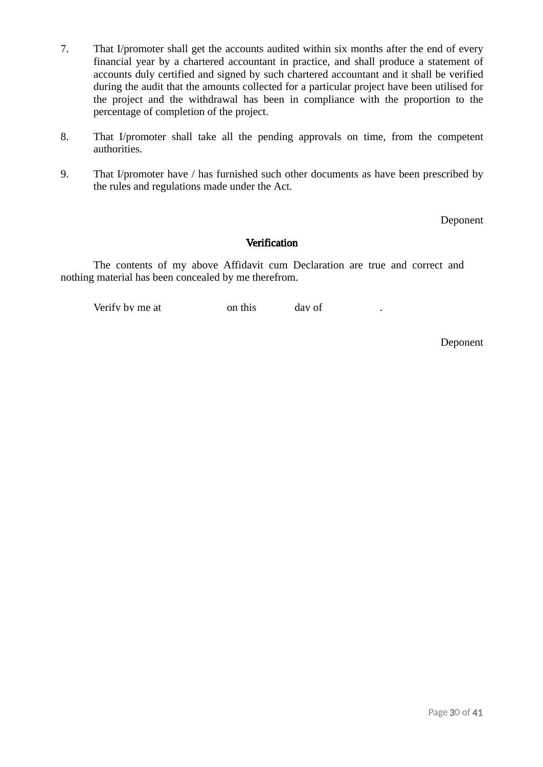- 7. That I/promoter shall get the accounts audited within six months after the end of every financial year by a chartered accountant in practice, and shall produce a statement of accounts duly certified and signed by such chartered accountant and it shall be verified during the audit that the amounts collected for a particular project have been utilised for the project and the withdrawal has been in compliance with the proportion to the percentage of completion of the project.
- 8. That I/promoter shall take all the pending approvals on time, from the competent authorities.
- 9. That I/promoter have / has furnished such other documents as have been prescribed by the rules and regulations made under the Act.

Deponent

#### **Verification**

The contents of my above Affidavit cum Declaration are true and correct and nothing material has been concealed by me therefrom.

Verify by me at  $\qquad \qquad \text{on this} \qquad \qquad \text{dav of}$ 

Deponent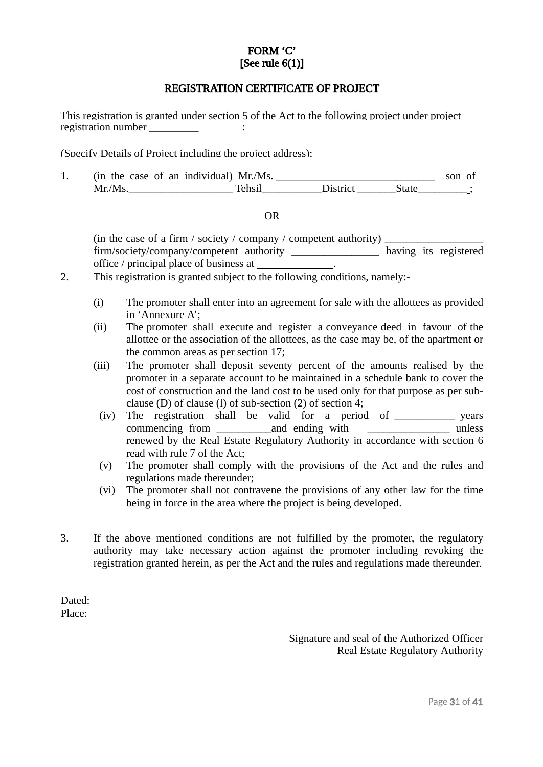#### FORM 'C' [See rule 6(1)]

#### REGISTRATION CERTIFICATE OF PROJECT

This registration is granted under section 5 of the Act to the following project under project registration number  $\cdot$ 

(Specify Details of Project including the project address);

1. (in the case of an individual) Mr./Ms. \_\_\_\_\_\_\_\_\_\_\_\_\_\_\_\_\_\_\_\_\_\_\_\_\_\_\_\_\_\_\_\_\_\_ son of Mr./Ms.\_\_\_\_\_\_\_\_\_\_\_\_\_\_\_\_\_\_\_ Tehsil\_\_\_\_\_\_\_\_\_\_\_District \_\_\_\_\_\_\_State\_\_\_\_\_\_\_\_\_ ;

#### OR

(in the case of a firm / society / company / competent authority)  $\sqrt{2\pi}$ firm/society/company/competent authority having its registered office / principal place of business at .

- 2. This registration is granted subject to the following conditions, namely:-
	- (i) The promoter shall enter into an agreement for sale with the allottees as provided in 'Annexure A';
	- (ii) The promoter shall execute and register a conveyance deed in favour of the allottee or the association of the allottees, as the case may be, of the apartment or the common areas as per section 17;
	- (iii) The promoter shall deposit seventy percent of the amounts realised by the promoter in a separate account to be maintained in a schedule bank to cover the cost of construction and the land cost to be used only for that purpose as per subclause (D) of clause (l) of sub-section (2) of section 4;
	- (iv) The registration shall be valid for a period of \_\_\_\_\_\_\_\_\_\_\_ years commencing from and ending with  $\Box$ renewed by the Real Estate Regulatory Authority in accordance with section 6 read with rule 7 of the Act;
	- (v) The promoter shall comply with the provisions of the Act and the rules and regulations made thereunder;
	- (vi) The promoter shall not contravene the provisions of any other law for the time being in force in the area where the project is being developed.
- 3. If the above mentioned conditions are not fulfilled by the promoter, the regulatory authority may take necessary action against the promoter including revoking the registration granted herein, as per the Act and the rules and regulations made thereunder.

Dated: Place:

> Signature and seal of the Authorized Officer Real Estate Regulatory Authority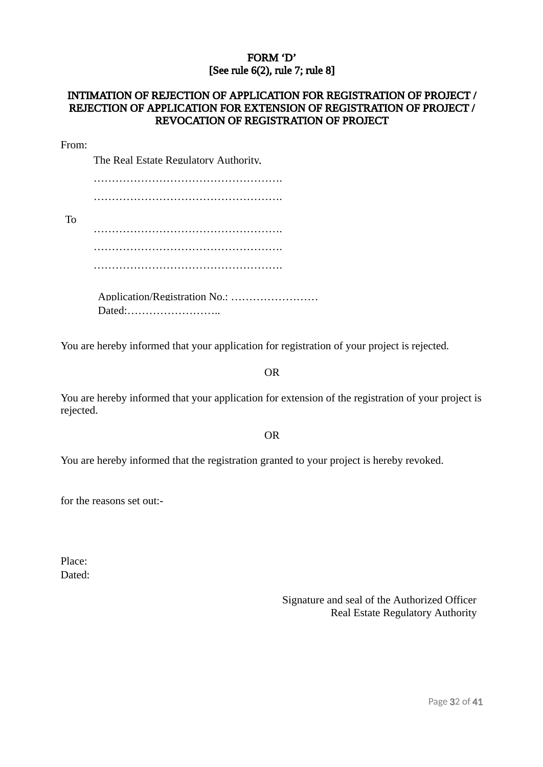#### FORM 'D' [See rule 6(2), rule 7; rule 8]

## INTIMATION OF REJECTION OF APPLICATION FOR REGISTRATION OF PROJECT /<br>REJECTION OF APPLICATION FOR EXTENSION OF REGISTRATION OF PROJECT /<br>REVOCATION OF REGISTRATION OF PROJECT

#### From:

The Real Estate Regulatory Authority,

| Application/Registration No.: | Dated: |  |  |
|-------------------------------|--------|--|--|

You are hereby informed that your application for registration of your project is rejected.

#### OR

You are hereby informed that your application for extension of the registration of your project is rejected.

OR

You are hereby informed that the registration granted to your project is hereby revoked.

for the reasons set out:-

Place: Dated:

> Signature and seal of the Authorized Officer Real Estate Regulatory Authority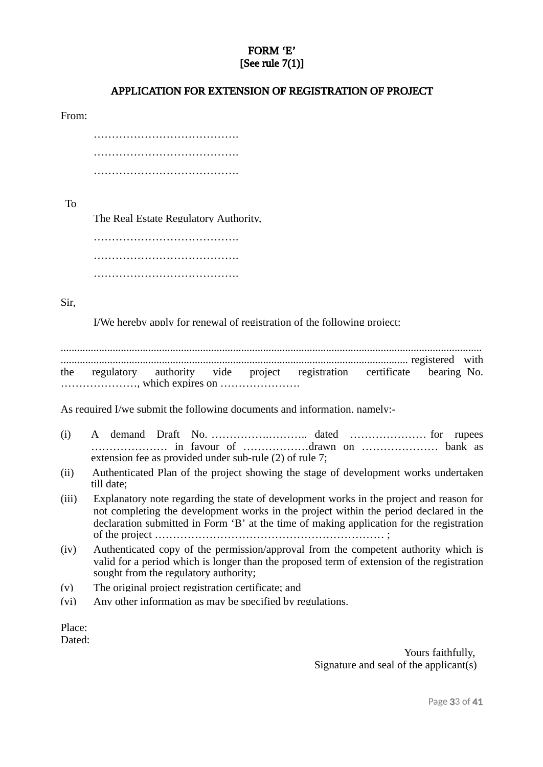#### FORM 'E' [See rule 7(1)]

#### APPLICATION FOR EXTENSION OF REGISTRATION OF PROJECT

From:

| . | . |
|---|---|
|   |   |
|   |   |

To

The Real Estate Regulatory Authority,

…………………………………………… …………………………………. ………………………………….

Sir,

I/We hereby apply for renewal of registration of the following project:

.......................................................................................................................................................... ............................................................................................................................... registered with the regulatory authority vide project registration certificate bearing No. …………………, which expires on ………………….

As required I/we submit the following documents and information, namely:-

- (i) A demand Draft No. …………….……….. dated ………………… for rupees ………………… in favour of ………………drawn on ………………… bank as extension fee as provided under sub-rule (2) of rule 7;
- (ii) Authenticated Plan of the project showing the stage of development works undertaken till date;
- (iii) Explanatory note regarding the state of development works in the project and reason for not completing the development works in the project within the period declared in the declaration submitted in Form 'B' at the time of making application for the registration of the project ……………………………………………………… ;
- (iv) Authenticated copy of the permission/approval from the competent authority which is valid for a period which is longer than the proposed term of extension of the registration sought from the regulatory authority;
- (v) The original project registration certificate; and
- (vi) Any other information as may be specified by regulations.

Place: Dated:

> Yours faithfully, Signature and seal of the applicant(s)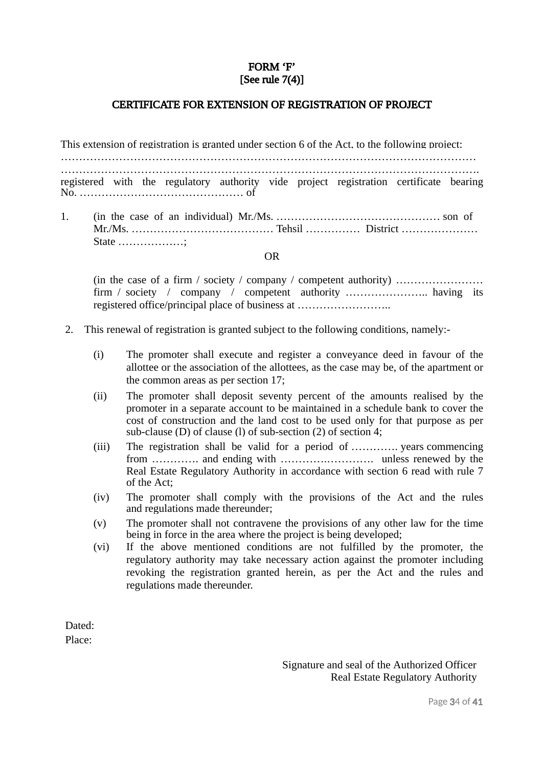#### FORM 'F' [See rule 7(4)]

#### CERTIFICATE FOR EXTENSION OF REGISTRATION OF PROJECT

This extension of registration is granted under section 6 of the Act, to the following project: …………………………………………………………………………………………………… ……………………………………………………………………………………………………. registered with the regulatory authority vide project registration certificate bearing No. ……………………………………… of

1. (in the case of an individual) Mr./Ms. ……………………………………… son of Mr./Ms. ………………………………… Tehsil …………… District ………………… State ………………;

OR

(in the case of a firm / society / company / competent authority) …………………… firm / society / company / competent authority ……………………… having its registered office/principal place of business at ……………………..

- 2. This renewal of registration is granted subject to the following conditions, namely:-
	- (i) The promoter shall execute and register a conveyance deed in favour of the allottee or the association of the allottees, as the case may be, of the apartment or the common areas as per section 17;
	- (ii) The promoter shall deposit seventy percent of the amounts realised by the promoter in a separate account to be maintained in a schedule bank to cover the cost of construction and the land cost to be used only for that purpose as per sub-clause (D) of clause (l) of sub-section (2) of section 4;
	- (iii) The registration shall be valid for a period of …………. years commencing from …………. and ending with ………….…………. unless renewed by the Real Estate Regulatory Authority in accordance with section 6 read with rule 7 of the Act;
	- (iv) The promoter shall comply with the provisions of the Act and the rules and regulations made thereunder;
	- (v) The promoter shall not contravene the provisions of any other law for the time being in force in the area where the project is being developed;
	- (vi) If the above mentioned conditions are not fulfilled by the promoter, the regulatory authority may take necessary action against the promoter including revoking the registration granted herein, as per the Act and the rules and regulations made thereunder.

Dated: Place:

> Signature and seal of the Authorized Officer Real Estate Regulatory Authority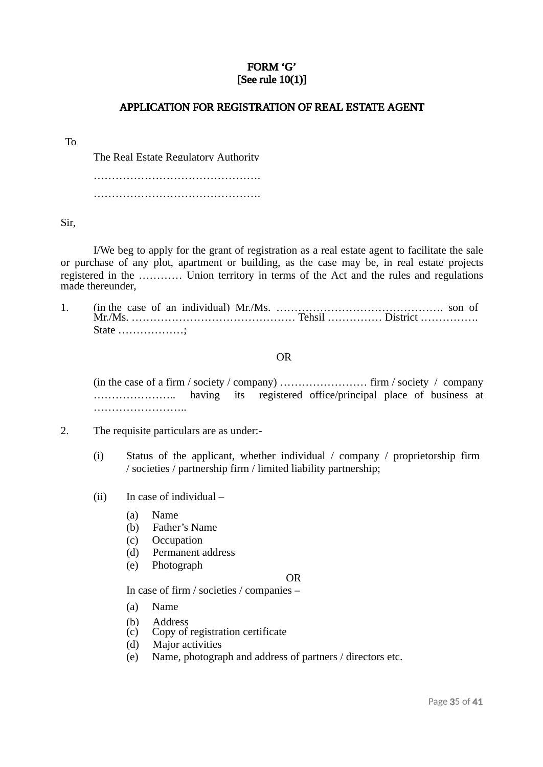#### FORM 'G' [See rule 10(1)]

#### APPLICATION FOR REGISTRATION OF REAL ESTATE AGENT

#### To

The Real Estate Regulatory Authority

………………………………………. ……………………………………….

Sir,

I/We beg to apply for the grant of registration as a real estate agent to facilitate the sale or purchase of any plot, apartment or building, as the case may be, in real estate projects registered in the ………… Union territory in terms of the Act and the rules and regulations made thereunder,

1. (in the case of an individual) Mr./Ms. ………………………………………. son of Mr./Ms. ……………………………………… Tehsil …………… District ……………. State ………………;

#### OR

(in the case of a firm / society / company) …………………… firm / society / company ………………….. having its registered office/principal place of business at ……………………..

- 2. The requisite particulars are as under:-
	- (i) Status of the applicant, whether individual / company / proprietorship firm / societies / partnership firm / limited liability partnership;
	- (ii) In case of individual
		- (a) Name
		- (b) Father's Name
		- (c) Occupation
		- (d) Permanent address
		- (e) Photograph

#### OR

In case of firm / societies / companies –

- (a) Name
- 
- (b) Address<br>(c) Copy of Copy of registration certificate
- (d) Major activities
- (e) Name, photograph and address of partners / directors etc.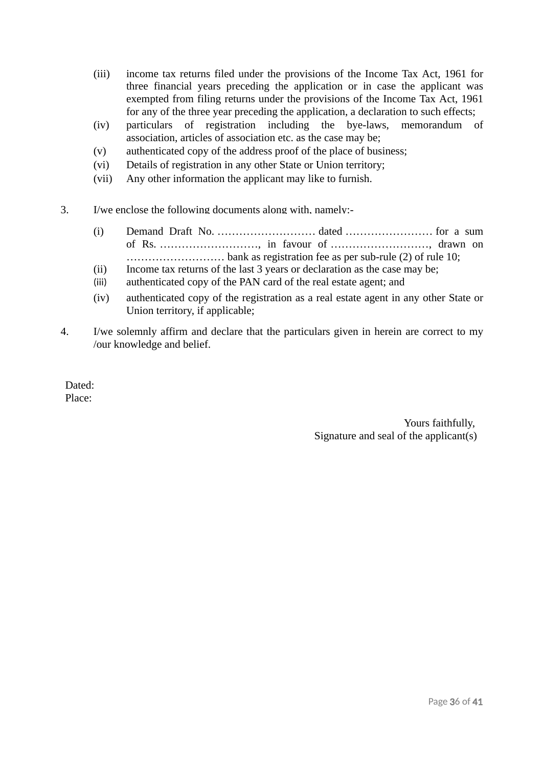- (iii) income tax returns filed under the provisions of the Income Tax Act, 1961 for three financial years preceding the application or in case the applicant was exempted from filing returns under the provisions of the Income Tax Act, 1961 for any of the three year preceding the application, a declaration to such effects;
- (iv) particulars of registration including the bye-laws, memorandum of association, articles of association etc. as the case may be;
- (v) authenticated copy of the address proof of the place of business;
- (vi) Details of registration in any other State or Union territory;
- (vii) Any other information the applicant may like to furnish.
- 3. I/we enclose the following documents along with, namely:-
	- (i) Demand Draft No. ……………………… dated …………………… for a sum of Rs. ………………………, in favour of ………………………, drawn on ……………………… bank as registration fee as per sub-rule (2) of rule 10;
	- (ii) Income tax returns of the last 3 years or declaration as the case may be;
	- (iii) authenticated copy of the PAN card of the real estate agent; and
	- (iv) authenticated copy of the registration as a real estate agent in any other State or Union territory, if applicable;
- 4. I/we solemnly affirm and declare that the particulars given in herein are correct to my /our knowledge and belief.

Dated: Place:

> Yours faithfully, Signature and seal of the applicant(s)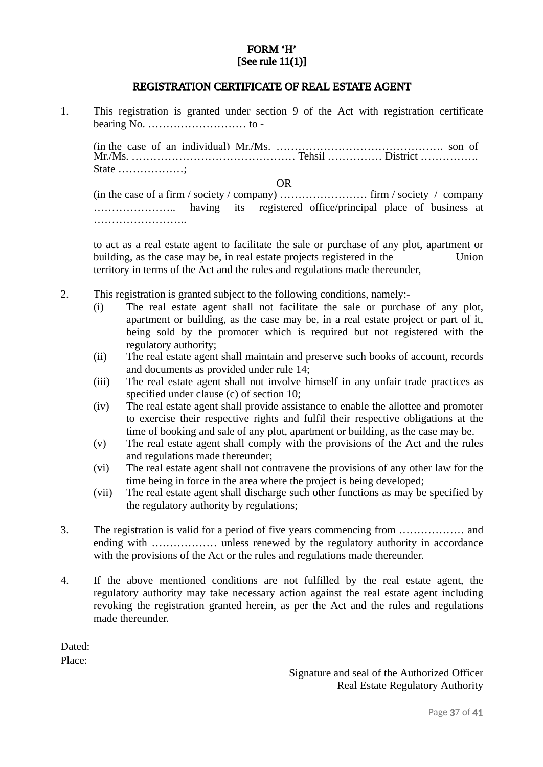#### FORM 'H' [See rule 11(1)]

#### REGISTRATION CERTIFICATE OF REAL ESTATE AGENT

1. This registration is granted under section 9 of the Act with registration certificate bearing No. ……………………… to-

(in the case of an individual) Mr./Ms. ………………………………………. son of Mr./Ms. ……………………………………… Tehsil …………… District ……………. State ………………;

OR

(in the case of a firm / society / company) …………………… firm / society / company ………………….. having its registered office/principal place of business at ……………………..

to act as a real estate agent to facilitate the sale or purchase of any plot, apartment or building, as the case may be, in real estate projects registered in the Union territory in terms of the Act and the rules and regulations made thereunder,

- 2. This registration is granted subject to the following conditions, namely:-
	- (i) The real estate agent shall not facilitate the sale or purchase of any plot, apartment or building, as the case may be, in a real estate project or part of it, being sold by the promoter which is required but not registered with the regulatory authority;
	- (ii) The real estate agent shall maintain and preserve such books of account, records and documents as provided under rule 14;
	- (iii) The real estate agent shall not involve himself in any unfair trade practices as specified under clause (c) of section 10;
	- (iv) The real estate agent shall provide assistance to enable the allottee and promoter to exercise their respective rights and fulfil their respective obligations at the time of booking and sale of any plot, apartment or building, as the case may be.
	- (v) The real estate agent shall comply with the provisions of the Act and the rules and regulations made thereunder;
	- (vi) The real estate agent shall not contravene the provisions of any other law for the time being in force in the area where the project is being developed;
	- (vii) The real estate agent shall discharge such other functions as may be specified by the regulatory authority by regulations;
- 3. The registration is valid for a period of five years commencing from ……………… and ending with ................... unless renewed by the regulatory authority in accordance with the provisions of the Act or the rules and regulations made thereunder.
- 4. If the above mentioned conditions are not fulfilled by the real estate agent, the regulatory authority may take necessary action against the real estate agent including revoking the registration granted herein, as per the Act and the rules and regulations made thereunder.

Dated: Place:

> Signature and seal of the Authorized Officer Real Estate Regulatory Authority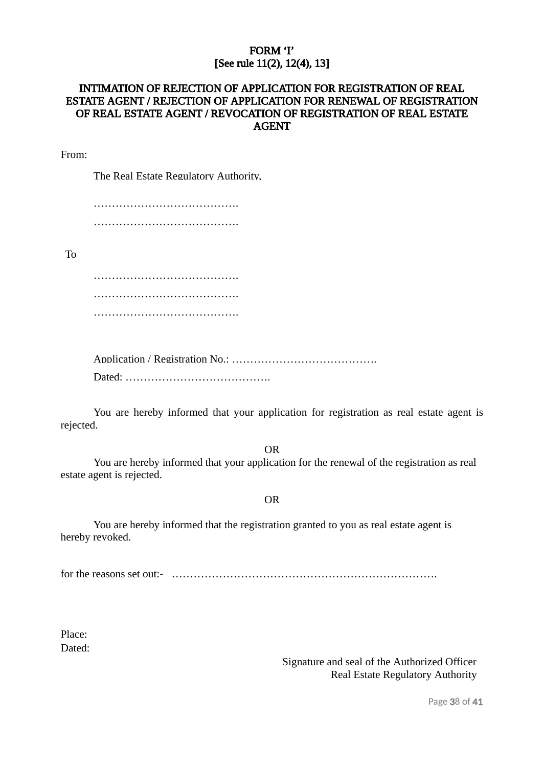#### FORM 'I' [See rule 11(2), 12(4), 13]

# INTIMATION OF REJECTION OF APPLICATION FOR REGISTRATION OF REAL ESTATE AGENT / REJECTION OF APPLICATION FOR RENEWAL OF REGISTRATION OF REAL ESTATE AGENT / REVOCATION OF REGISTRATION OF REAL ESTATE AGENT AGENT

From:

The Real Estate Regulatory Authority,

…………………………………. ………………………………….

To

…………………………………. …………………………………. ………………………………….

Application / Registration No.: …………………………………. Dated: ………………………………….

You are hereby informed that your application for registration as real estate agent is rejected.

OR

You are hereby informed that your application for the renewal of the registration as real estate agent is rejected.

OR

You are hereby informed that the registration granted to you as real estate agent is hereby revoked.

for the reasons set out:- \_……………………………………………………………….

Place: Dated:

> Signature and seal of the Authorized Officer Real Estate Regulatory Authority

> > Page 38 of 41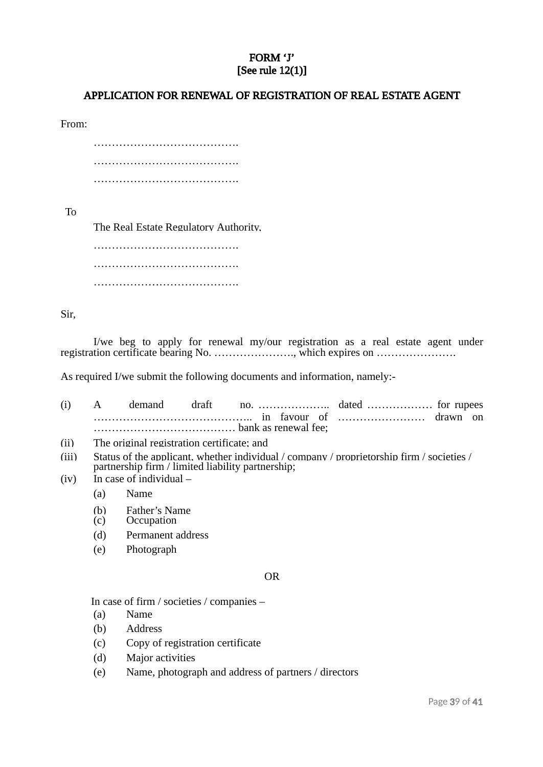#### FORM 'J' [See rule 12(1)]

#### APPLICATION FOR RENEWAL OF REGISTRATION OF REAL ESTATE AGENT

From:

………………………………………… …………………………………. ………………………………….

To

The Real Estate Regulatory Authority,

…………………………………. …………………………………. ………………………………….

Sir,

I/we beg to apply for renewal my/our registration as a real estate agent under registration certificate bearing No. …………………., which expires on ………………….

As required I/we submit the following documents and information, namely:-

| (i) |  |  | draft |  |  |  |  |  |  |
|-----|--|--|-------|--|--|--|--|--|--|
|     |  |  |       |  |  |  |  |  |  |
|     |  |  |       |  |  |  |  |  |  |

- (ii) The original registration certificate; and
- (iii) Status of the applicant, whether individual / company / proprietorship firm / societies / partnership firm / limited liability partnership;
- (iv) In case of individual
	- (a) Name
	- (b) Father's Name
	- (c) Occupation
	- (d) Permanent address
	- (e) Photograph

#### OR

In case of firm / societies / companies –

- (a) Name
- (b) Address
- (c) Copy of registration certificate
- (d) Major activities
- (e) Name, photograph and address of partners / directors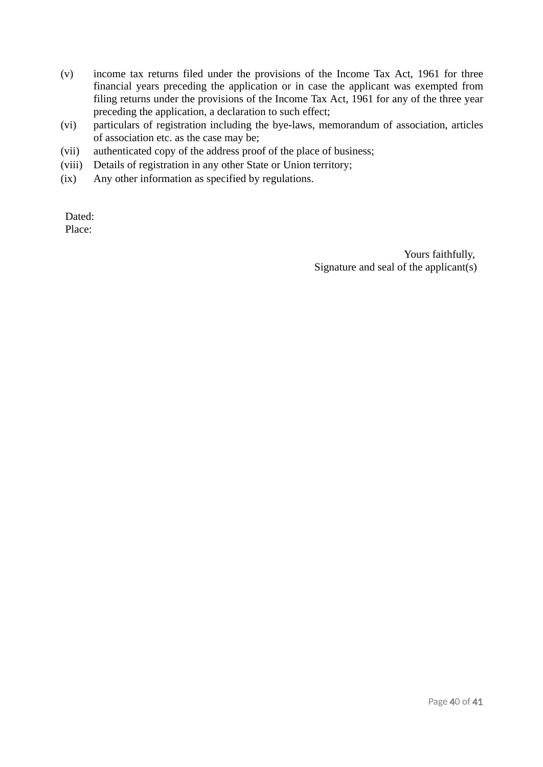- (v) income tax returns filed under the provisions of the Income Tax Act, 1961 for three financial years preceding the application or in case the applicant was exempted from filing returns under the provisions of the Income Tax Act, 1961 for any of the three year preceding the application, a declaration to such effect;
- (vi) particulars of registration including the bye-laws, memorandum of association, articles of association etc. as the case may be;
- (vii) authenticated copy of the address proof of the place of business;
- (viii) Details of registration in any other State or Union territory;
- (ix) Any other information as specified by regulations.

Dated: Place:

> Yours faithfully, Signature and seal of the applicant(s)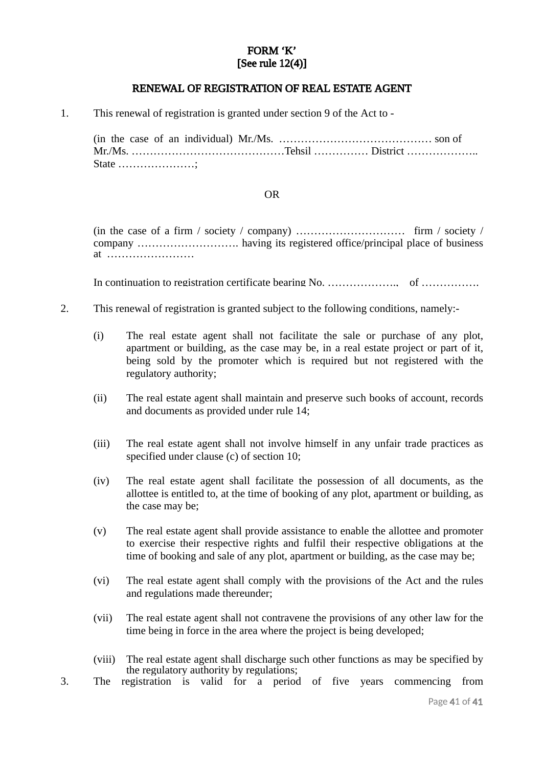#### FORM 'K' [See rule 12(4)]

#### RENEWAL OF REGISTRATION OF REAL ESTATE AGENT

1. This renewal of registration is granted under section 9 of the Act to -

(in the case of an individual) Mr./Ms. …………………………………… son of Mr./Ms. ……………………………………Tehsil …………… District ……………….. State …………………;

#### OR

(in the case of a firm / society / company) ………………………… firm / society / company ………………………. having its registered office/principal place of business at ……………………

In continuation to registration certificate bearing No. …………………………………………………………………

- 2. This renewal of registration is granted subject to the following conditions, namely:-
	- (i) The real estate agent shall not facilitate the sale or purchase of any plot, apartment or building, as the case may be, in a real estate project or part of it, being sold by the promoter which is required but not registered with the regulatory authority;
	- (ii) The real estate agent shall maintain and preserve such books of account, records and documents as provided under rule 14;
	- (iii) The real estate agent shall not involve himself in any unfair trade practices as specified under clause (c) of section 10;
	- (iv) The real estate agent shall facilitate the possession of all documents, as the allottee is entitled to, at the time of booking of any plot, apartment or building, as the case may be;
	- (v) The real estate agent shall provide assistance to enable the allottee and promoter to exercise their respective rights and fulfil their respective obligations at the time of booking and sale of any plot, apartment or building, as the case may be;
	- (vi) The real estate agent shall comply with the provisions of the Act and the rules and regulations made thereunder;
	- (vii) The real estate agent shall not contravene the provisions of any other law for the time being in force in the area where the project is being developed;
	- (viii) The real estate agent shall discharge such other functions as may be specified by the regulatory authority by regulations;
- 3. The registration is valid for a period of five years commencing from